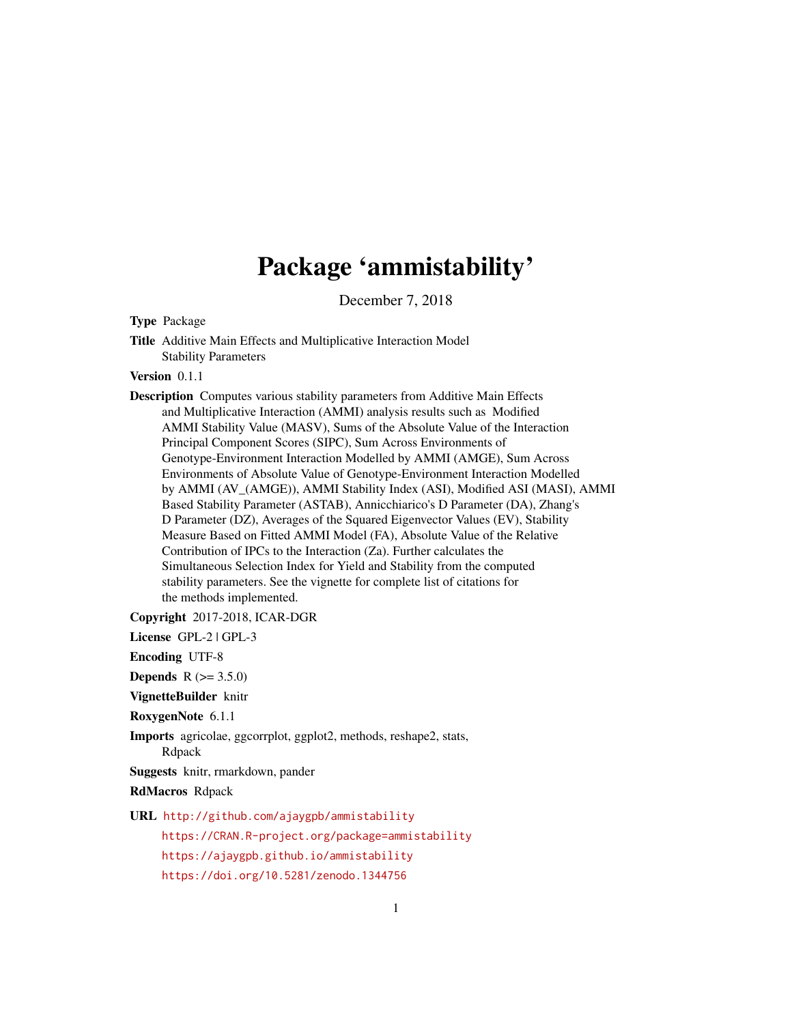# Package 'ammistability'

December 7, 2018

<span id="page-0-0"></span>Type Package

Title Additive Main Effects and Multiplicative Interaction Model Stability Parameters

Version 0.1.1

Description Computes various stability parameters from Additive Main Effects and Multiplicative Interaction (AMMI) analysis results such as Modified AMMI Stability Value (MASV), Sums of the Absolute Value of the Interaction Principal Component Scores (SIPC), Sum Across Environments of Genotype-Environment Interaction Modelled by AMMI (AMGE), Sum Across Environments of Absolute Value of Genotype-Environment Interaction Modelled by AMMI (AV\_(AMGE)), AMMI Stability Index (ASI), Modified ASI (MASI), AMMI Based Stability Parameter (ASTAB), Annicchiarico's D Parameter (DA), Zhang's D Parameter (DZ), Averages of the Squared Eigenvector Values (EV), Stability Measure Based on Fitted AMMI Model (FA), Absolute Value of the Relative Contribution of IPCs to the Interaction (Za). Further calculates the Simultaneous Selection Index for Yield and Stability from the computed stability parameters. See the vignette for complete list of citations for the methods implemented.

Copyright 2017-2018, ICAR-DGR

License GPL-2 | GPL-3

Encoding UTF-8

**Depends** R  $(>= 3.5.0)$ 

VignetteBuilder knitr

RoxygenNote 6.1.1

Imports agricolae, ggcorrplot, ggplot2, methods, reshape2, stats,

Rdpack

Suggests knitr, rmarkdown, pander

RdMacros Rdpack

URL <http://github.com/ajaygpb/ammistability>

<https://CRAN.R-project.org/package=ammistability> <https://ajaygpb.github.io/ammistability> <https://doi.org/10.5281/zenodo.1344756>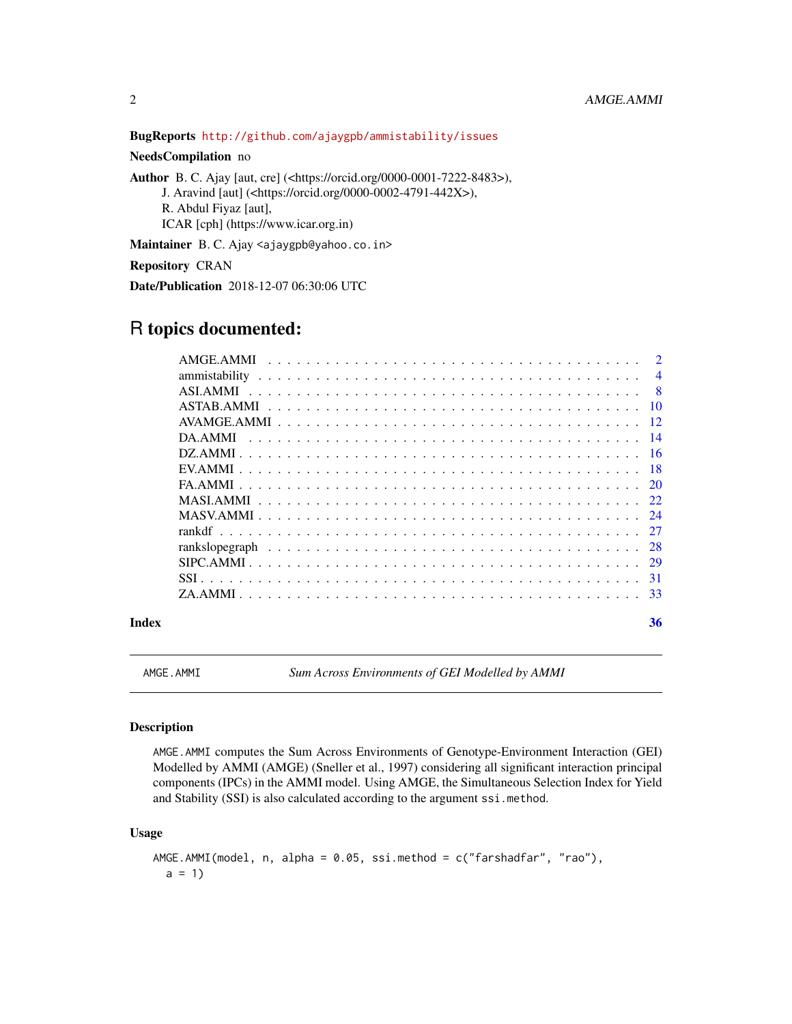BugReports <http://github.com/ajaygpb/ammistability/issues>

# NeedsCompilation no

Author B. C. Ajay [aut, cre] (<https://orcid.org/0000-0001-7222-8483>),

J. Aravind [aut] (<https://orcid.org/0000-0002-4791-442X>), R. Abdul Fiyaz [aut],

ICAR [cph] (https://www.icar.org.in)

Maintainer B. C. Ajay <ajaygpb@yahoo.co.in>

Repository CRAN

Date/Publication 2018-12-07 06:30:06 UTC

# R topics documented:

#### **Index** [36](#page-35-0)

<span id="page-1-1"></span>

AMGE.AMMI *Sum Across Environments of GEI Modelled by AMMI*

#### Description

AMGE.AMMI computes the Sum Across Environments of Genotype-Environment Interaction (GEI) Modelled by AMMI (AMGE) (Sneller et al., 1997) considering all significant interaction principal components (IPCs) in the AMMI model. Using AMGE, the Simultaneous Selection Index for Yield and Stability (SSI) is also calculated according to the argument ssi.method.

# Usage

```
AMGE.AMMI(model, n, alpha = 0.05, ssi.method = c("farshadfar", "rao"),
 a = 1
```
<span id="page-1-0"></span>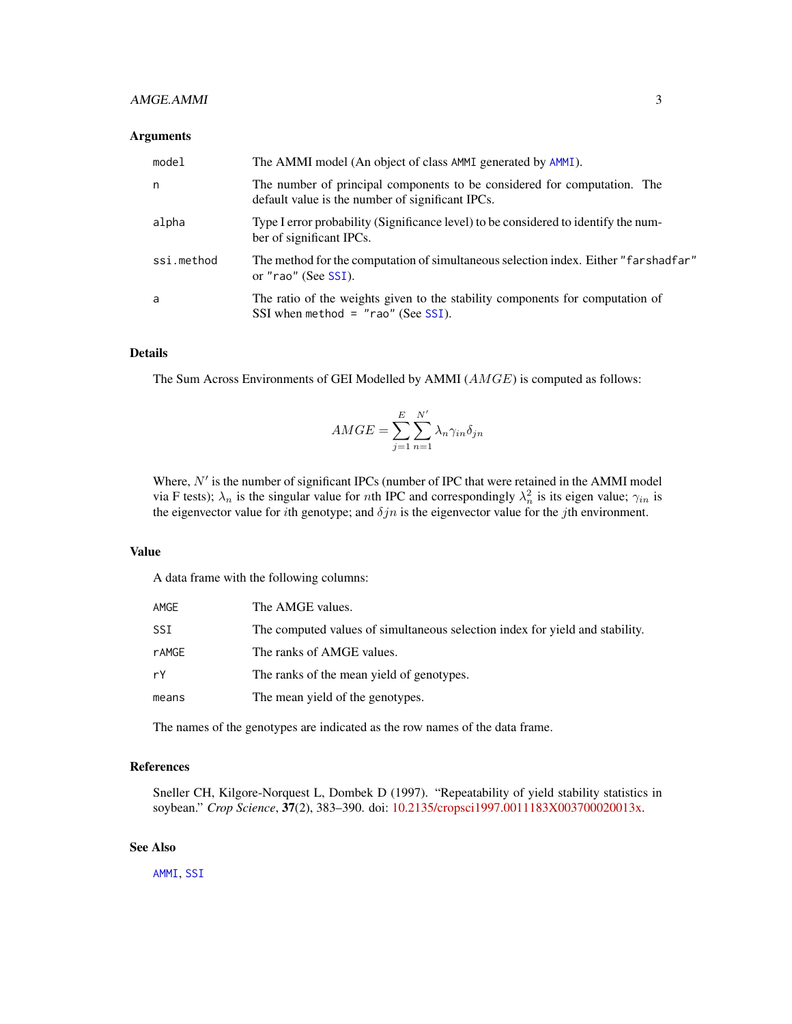# <span id="page-2-0"></span>AMGE.AMMI 3

#### Arguments

| model      | The AMMI model (An object of class AMMI generated by AMMI).                                                                  |
|------------|------------------------------------------------------------------------------------------------------------------------------|
| n          | The number of principal components to be considered for computation. The<br>default value is the number of significant IPCs. |
| alpha      | Type I error probability (Significance level) to be considered to identify the num-<br>ber of significant IPCs.              |
| ssi.method | The method for the computation of simultaneous selection index. Either "farshadfar"<br>or "rao" (See SSI).                   |
| a          | The ratio of the weights given to the stability components for computation of<br>SSI when method = $"$ rao" (See SSI).       |

# Details

The Sum Across Environments of GEI Modelled by AMMI (AMGE) is computed as follows:

$$
AMGE = \sum_{j=1}^{E} \sum_{n=1}^{N'} \lambda_n \gamma_{in} \delta_{jn}
$$

Where,  $N'$  is the number of significant IPCs (number of IPC that were retained in the AMMI model via F tests);  $\lambda_n$  is the singular value for *n*th IPC and correspondingly  $\lambda_n^2$  is its eigen value;  $\gamma_{in}$  is the eigenvector value for *i*th genotype; and  $\delta jn$  is the eigenvector value for the *j*th environment.

#### Value

A data frame with the following columns:

| AMGE  | The AMGE values.                                                             |
|-------|------------------------------------------------------------------------------|
| SSI   | The computed values of simultaneous selection index for yield and stability. |
| rAMGE | The ranks of AMGE values.                                                    |
| rY    | The ranks of the mean yield of genotypes.                                    |
| means | The mean yield of the genotypes.                                             |

The names of the genotypes are indicated as the row names of the data frame.

### References

Sneller CH, Kilgore-Norquest L, Dombek D (1997). "Repeatability of yield stability statistics in soybean." *Crop Science*, 37(2), 383–390. doi: [10.2135/cropsci1997.0011183X003700020013x.](https://doi.org/10.2135/cropsci1997.0011183X003700020013x)

# See Also

[AMMI](#page-0-0), [SSI](#page-30-1)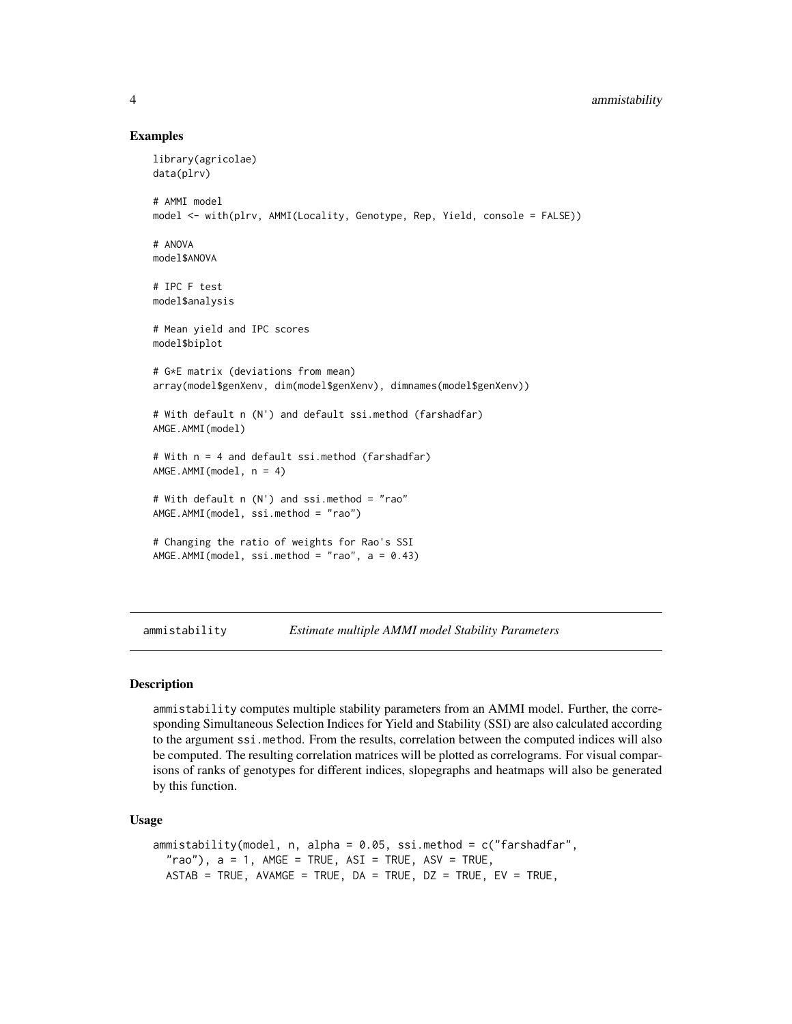## <span id="page-3-0"></span>4 ammistability

#### Examples

```
library(agricolae)
data(plrv)
# AMMI model
model <- with(plrv, AMMI(Locality, Genotype, Rep, Yield, console = FALSE))
# ANOVA
model$ANOVA
# IPC F test
model$analysis
# Mean yield and IPC scores
model$biplot
# G*E matrix (deviations from mean)
array(model$genXenv, dim(model$genXenv), dimnames(model$genXenv))
# With default n (N') and default ssi.method (farshadfar)
AMGE.AMMI(model)
# With n = 4 and default ssi.method (farshadfar)
AMGE.AMMI(model, n = 4)
# With default n (N') and ssi.method = "rao"
AMGE.AMMI(model, ssi.method = "rao")
# Changing the ratio of weights for Rao's SSI
AMGE.AMMI(model, ssi.method = "rao", a = 0.43)
```
ammistability *Estimate multiple AMMI model Stability Parameters*

#### Description

ammistability computes multiple stability parameters from an AMMI model. Further, the corresponding Simultaneous Selection Indices for Yield and Stability (SSI) are also calculated according to the argument ssi.method. From the results, correlation between the computed indices will also be computed. The resulting correlation matrices will be plotted as correlograms. For visual comparisons of ranks of genotypes for different indices, slopegraphs and heatmaps will also be generated by this function.

#### Usage

```
ammistability(model, n, alpha = 0.05, ssi.method = c("farshadfar",
  "rao"), a = 1, AMGE = TRUE, ASI = TRUE, ASV = TRUE,
 ASTAB = TRUE, AVAMGE = TRUE, DA = TRUE, DZ = TRUE, EV = TRUE,
```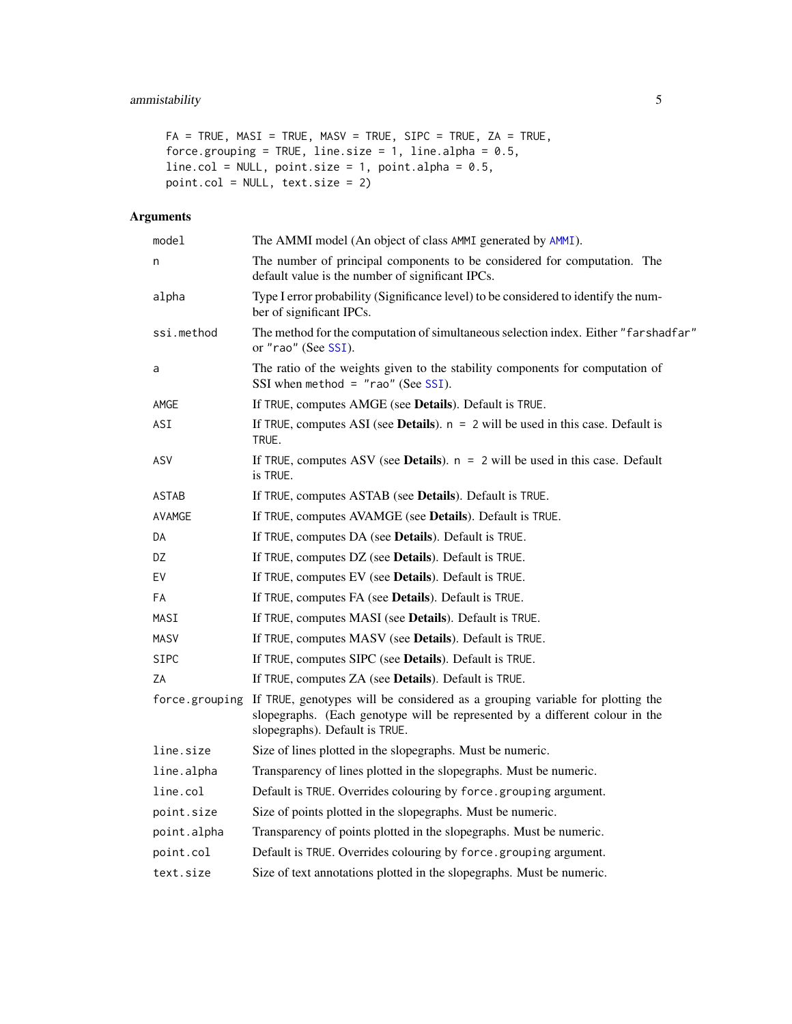# <span id="page-4-0"></span>ammistability 5

```
FA = TRUE, MAX = TRUE, MAX = TRUE, SIPC = TRUE, ZA = TRUE,force.grouping = TRUE, line.size = 1, line.alpha = 0.5,
line.col = NULL, point.size = 1, point.alpha = 0.5,
point.col = NULL, text.size = 2)
```
# Arguments

| model          | The AMMI model (An object of class AMMI generated by AMMI).                                                                                                                                     |
|----------------|-------------------------------------------------------------------------------------------------------------------------------------------------------------------------------------------------|
| n              | The number of principal components to be considered for computation. The<br>default value is the number of significant IPCs.                                                                    |
| alpha          | Type I error probability (Significance level) to be considered to identify the num-<br>ber of significant IPCs.                                                                                 |
| ssi.method     | The method for the computation of simultaneous selection index. Either "farshadfar"<br>or "rao" (See SSI).                                                                                      |
| a              | The ratio of the weights given to the stability components for computation of<br>SSI when method = $"$ rao" (See SSI).                                                                          |
| AMGE           | If TRUE, computes AMGE (see Details). Default is TRUE.                                                                                                                                          |
| ASI            | If TRUE, computes ASI (see Details). $n = 2$ will be used in this case. Default is<br>TRUE.                                                                                                     |
| ASV            | If TRUE, computes ASV (see <b>Details</b> ). $n = 2$ will be used in this case. Default<br>is TRUE.                                                                                             |
| ASTAB          | If TRUE, computes ASTAB (see <b>Details</b> ). Default is TRUE.                                                                                                                                 |
| AVAMGE         | If TRUE, computes AVAMGE (see Details). Default is TRUE.                                                                                                                                        |
| DA             | If TRUE, computes DA (see Details). Default is TRUE.                                                                                                                                            |
| DZ             | If TRUE, computes DZ (see <b>Details</b> ). Default is TRUE.                                                                                                                                    |
| EV             | If TRUE, computes EV (see <b>Details</b> ). Default is TRUE.                                                                                                                                    |
| FA             | If TRUE, computes FA (see <b>Details</b> ). Default is TRUE.                                                                                                                                    |
| MASI           | If TRUE, computes MASI (see Details). Default is TRUE.                                                                                                                                          |
| <b>MASV</b>    | If TRUE, computes MASV (see Details). Default is TRUE.                                                                                                                                          |
| <b>SIPC</b>    | If TRUE, computes SIPC (see Details). Default is TRUE.                                                                                                                                          |
| ΖA             | If TRUE, computes ZA (see Details). Default is TRUE.                                                                                                                                            |
| force.grouping | If TRUE, genotypes will be considered as a grouping variable for plotting the<br>slopegraphs. (Each genotype will be represented by a different colour in the<br>slopegraphs). Default is TRUE. |
| line.size      | Size of lines plotted in the slopegraphs. Must be numeric.                                                                                                                                      |
| line.alpha     | Transparency of lines plotted in the slopegraphs. Must be numeric.                                                                                                                              |
| line.col       | Default is TRUE. Overrides colouring by force.grouping argument.                                                                                                                                |
| point.size     | Size of points plotted in the slopegraphs. Must be numeric.                                                                                                                                     |
| point.alpha    | Transparency of points plotted in the slopegraphs. Must be numeric.                                                                                                                             |
| point.col      | Default is TRUE. Overrides colouring by force.grouping argument.                                                                                                                                |
| text.size      | Size of text annotations plotted in the slopegraphs. Must be numeric.                                                                                                                           |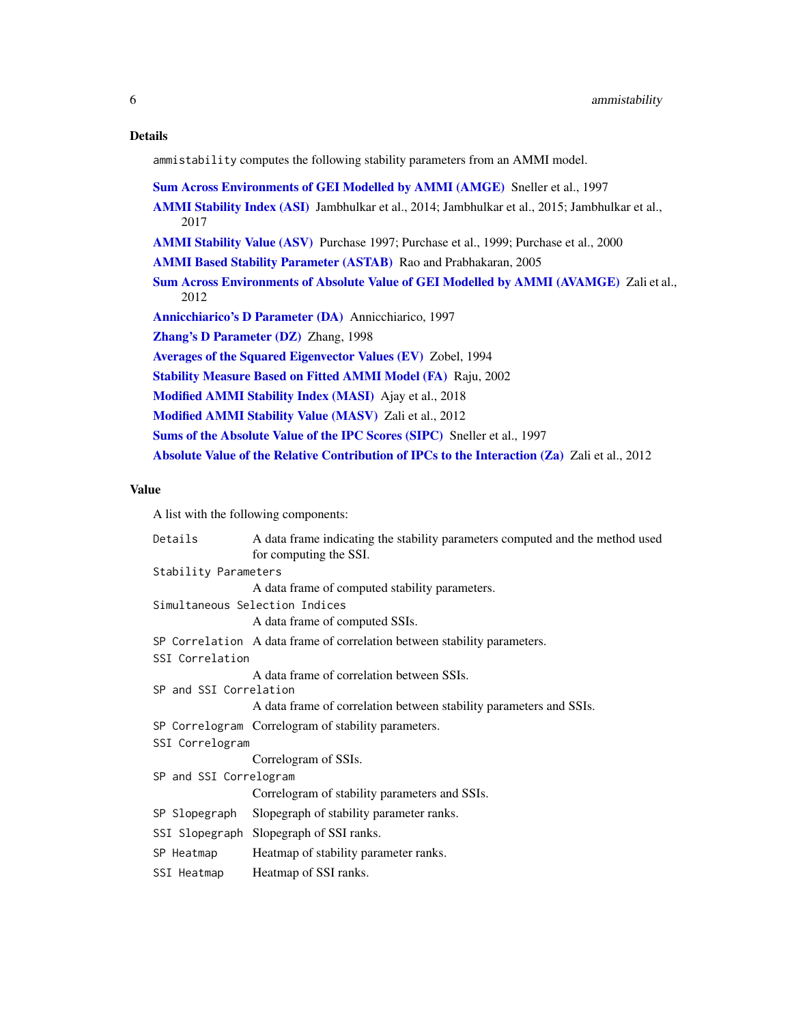#### <span id="page-5-0"></span>Details

ammistability computes the following stability parameters from an AMMI model.

[Sum Across Environments of GEI Modelled by AMMI \(AMGE\)](#page-0-0) Sneller et al., 1997

[AMMI Stability Index \(ASI\)](#page-0-0) Jambhulkar et al., 2014; Jambhulkar et al., 2015; Jambhulkar et al., 2017

[AMMI Stability Value \(ASV\)](#page-0-0) Purchase 1997; Purchase et al., 1999; Purchase et al., 2000

[AMMI Based Stability Parameter \(ASTAB\)](#page-0-0) Rao and Prabhakaran, 2005

[Sum Across Environments of Absolute Value of GEI Modelled by AMMI \(AVAMGE\)](#page-0-0) Zali et al., 2012

[Annicchiarico's D Parameter \(DA\)](#page-0-0) Annicchiarico, 1997

[Zhang's D Parameter \(DZ\)](#page-0-0) Zhang, 1998

[Averages of the Squared Eigenvector Values \(EV\)](#page-0-0) Zobel, 1994

[Stability Measure Based on Fitted AMMI Model \(FA\)](#page-0-0) Raju, 2002

[Modified AMMI Stability Index \(MASI\)](#page-0-0) Ajay et al., 2018

[Modified AMMI Stability Value \(MASV\)](#page-0-0) Zali et al., 2012

[Sums of the Absolute Value of the IPC Scores \(SIPC\)](#page-0-0) Sneller et al., 1997

[Absolute Value of the Relative Contribution of IPCs to the Interaction \(Za\)](#page-0-0) Zali et al., 2012

# Value

A list with the following components:

| Details                | A data frame indicating the stability parameters computed and the method used |  |  |  |  |
|------------------------|-------------------------------------------------------------------------------|--|--|--|--|
|                        | for computing the SSI.                                                        |  |  |  |  |
| Stability Parameters   |                                                                               |  |  |  |  |
|                        | A data frame of computed stability parameters.                                |  |  |  |  |
|                        | Simultaneous Selection Indices                                                |  |  |  |  |
|                        | A data frame of computed SSIs.                                                |  |  |  |  |
|                        | SP Correlation A data frame of correlation between stability parameters.      |  |  |  |  |
| SSI Correlation        |                                                                               |  |  |  |  |
|                        | A data frame of correlation between SSIs.                                     |  |  |  |  |
| SP and SSI Correlation |                                                                               |  |  |  |  |
|                        | A data frame of correlation between stability parameters and SSIs.            |  |  |  |  |
|                        | SP Correlogram Correlogram of stability parameters.                           |  |  |  |  |
| SSI Correlogram        |                                                                               |  |  |  |  |
|                        | Correlogram of SSIs.                                                          |  |  |  |  |
| SP and SSI Correlogram |                                                                               |  |  |  |  |
|                        | Correlogram of stability parameters and SSIs.                                 |  |  |  |  |
|                        | SP Slopegraph Slopegraph of stability parameter ranks.                        |  |  |  |  |
|                        | SSI Slopegraph Slopegraph of SSI ranks.                                       |  |  |  |  |
| SP Heatmap             | Heatmap of stability parameter ranks.                                         |  |  |  |  |
| SSI Heatmap            | Heatmap of SSI ranks.                                                         |  |  |  |  |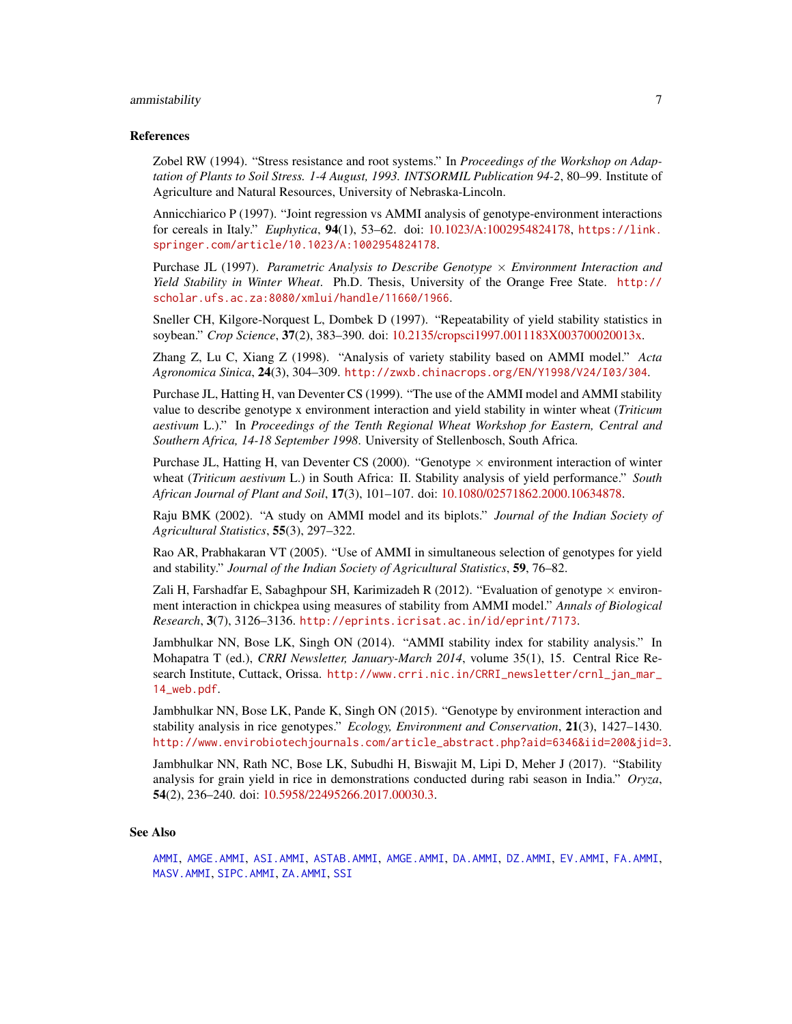#### <span id="page-6-0"></span>ammistability 7

#### References

Zobel RW (1994). "Stress resistance and root systems." In *Proceedings of the Workshop on Adaptation of Plants to Soil Stress. 1-4 August, 1993. INTSORMIL Publication 94-2*, 80–99. Institute of Agriculture and Natural Resources, University of Nebraska-Lincoln.

Annicchiarico P (1997). "Joint regression vs AMMI analysis of genotype-environment interactions for cereals in Italy." *Euphytica*, 94(1), 53–62. doi: [10.1023/A:1002954824178,](https://doi.org/10.1023/A:1002954824178) [https://link.](https://link.springer.com/article/10.1023/A:1002954824178) [springer.com/article/10.1023/A:1002954824178](https://link.springer.com/article/10.1023/A:1002954824178).

Purchase JL (1997). *Parametric Analysis to Describe Genotype* × *Environment Interaction and Yield Stability in Winter Wheat*. Ph.D. Thesis, University of the Orange Free State. [http://](http://scholar.ufs.ac.za:8080/xmlui/handle/11660/1966) [scholar.ufs.ac.za:8080/xmlui/handle/11660/1966](http://scholar.ufs.ac.za:8080/xmlui/handle/11660/1966).

Sneller CH, Kilgore-Norquest L, Dombek D (1997). "Repeatability of yield stability statistics in soybean." *Crop Science*, 37(2), 383–390. doi: [10.2135/cropsci1997.0011183X003700020013x.](https://doi.org/10.2135/cropsci1997.0011183X003700020013x)

Zhang Z, Lu C, Xiang Z (1998). "Analysis of variety stability based on AMMI model." *Acta Agronomica Sinica*, 24(3), 304–309. <http://zwxb.chinacrops.org/EN/Y1998/V24/I03/304>.

Purchase JL, Hatting H, van Deventer CS (1999). "The use of the AMMI model and AMMI stability value to describe genotype x environment interaction and yield stability in winter wheat (*Triticum aestivum* L.)." In *Proceedings of the Tenth Regional Wheat Workshop for Eastern, Central and Southern Africa, 14-18 September 1998*. University of Stellenbosch, South Africa.

Purchase JL, Hatting H, van Deventer CS (2000). "Genotype  $\times$  environment interaction of winter wheat (*Triticum aestivum* L.) in South Africa: II. Stability analysis of yield performance." *South African Journal of Plant and Soil*, 17(3), 101–107. doi: [10.1080/02571862.2000.10634878.](https://doi.org/10.1080/02571862.2000.10634878)

Raju BMK (2002). "A study on AMMI model and its biplots." *Journal of the Indian Society of Agricultural Statistics*, 55(3), 297–322.

Rao AR, Prabhakaran VT (2005). "Use of AMMI in simultaneous selection of genotypes for yield and stability." *Journal of the Indian Society of Agricultural Statistics*, 59, 76–82.

Zali H, Farshadfar E, Sabaghpour SH, Karimizadeh R (2012). "Evaluation of genotype  $\times$  environment interaction in chickpea using measures of stability from AMMI model." *Annals of Biological Research*, 3(7), 3126–3136. <http://eprints.icrisat.ac.in/id/eprint/7173>.

Jambhulkar NN, Bose LK, Singh ON (2014). "AMMI stability index for stability analysis." In Mohapatra T (ed.), *CRRI Newsletter, January-March 2014*, volume 35(1), 15. Central Rice Research Institute, Cuttack, Orissa. [http://www.crri.nic.in/CRRI\\_newsletter/crnl\\_jan\\_mar\\_](http://www.crri.nic.in/CRRI_newsletter/crnl_jan_mar_14_web.pdf) [14\\_web.pdf](http://www.crri.nic.in/CRRI_newsletter/crnl_jan_mar_14_web.pdf).

Jambhulkar NN, Bose LK, Pande K, Singh ON (2015). "Genotype by environment interaction and stability analysis in rice genotypes." *Ecology, Environment and Conservation*, 21(3), 1427–1430. [http://www.envirobiotechjournals.com/article\\_abstract.php?aid=6346&iid=200&jid=3](http://www.envirobiotechjournals.com/article_abstract.php?aid=6346&iid=200&jid=3).

Jambhulkar NN, Rath NC, Bose LK, Subudhi H, Biswajit M, Lipi D, Meher J (2017). "Stability analysis for grain yield in rice in demonstrations conducted during rabi season in India." *Oryza*, 54(2), 236–240. doi: [10.5958/22495266.2017.00030.3.](https://doi.org/10.5958/2249-5266.2017.00030.3)

#### See Also

[AMMI](#page-0-0), [AMGE.AMMI](#page-1-1), [ASI.AMMI](#page-7-1), [ASTAB.AMMI](#page-9-1), [AMGE.AMMI](#page-1-1), [DA.AMMI](#page-13-1), [DZ.AMMI](#page-15-1), [EV.AMMI](#page-17-1), [FA.AMMI](#page-19-1), [MASV.AMMI](#page-23-1), [SIPC.AMMI](#page-28-1), [ZA.AMMI](#page-32-1), [SSI](#page-30-1)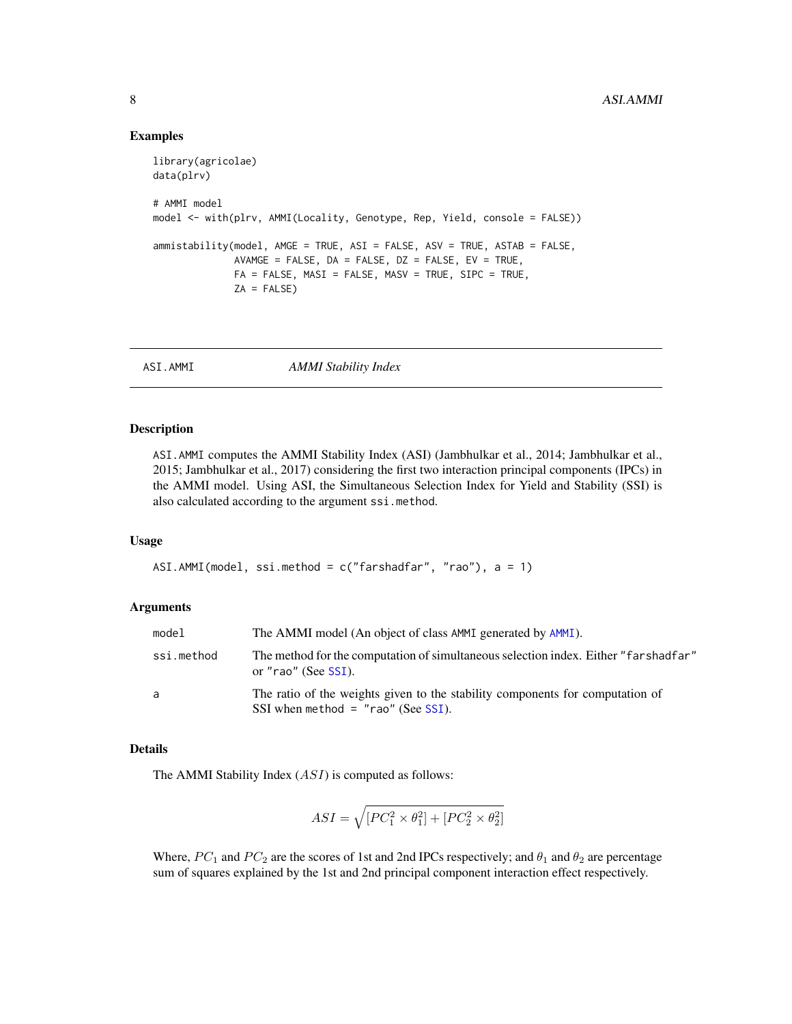#### Examples

```
library(agricolae)
data(plrv)
# AMMI model
model <- with(plrv, AMMI(Locality, Genotype, Rep, Yield, console = FALSE))
ammistability(model, AMGE = TRUE, ASI = FALSE, ASV = TRUE, ASTAB = FALSE,
              AVAMGE = FALSE, DA = FALSE, DZ = FALSE, EV = TRUE,
              FA = FALSE, MAX = FALSE, MASV = TRUE, SIPC = TRUE,ZA = FALSE)
```
<span id="page-7-1"></span>

ASI.AMMI *AMMI Stability Index*

#### Description

ASI.AMMI computes the AMMI Stability Index (ASI) (Jambhulkar et al., 2014; Jambhulkar et al., 2015; Jambhulkar et al., 2017) considering the first two interaction principal components (IPCs) in the AMMI model. Using ASI, the Simultaneous Selection Index for Yield and Stability (SSI) is also calculated according to the argument ssi.method.

#### Usage

```
ASI.AMMI(model, ssi.method = c("farshadfar", "rao"), a = 1)
```
#### Arguments

| model      | The AMMI model (An object of class AMMI generated by AMMI).                                                            |
|------------|------------------------------------------------------------------------------------------------------------------------|
| ssi.method | The method for the computation of simultaneous selection index. Either "farshadfar"<br>or "rao" (See SSI).             |
| a          | The ratio of the weights given to the stability components for computation of<br>SSI when method = $"$ rao" (See SSI). |

# Details

The AMMI Stability Index (ASI) is computed as follows:

$$
ASI = \sqrt{[PC_1^2 \times \theta_1^2] + [PC_2^2 \times \theta_2^2]}
$$

Where,  $PC_1$  and  $PC_2$  are the scores of 1st and 2nd IPCs respectively; and  $\theta_1$  and  $\theta_2$  are percentage sum of squares explained by the 1st and 2nd principal component interaction effect respectively.

<span id="page-7-0"></span>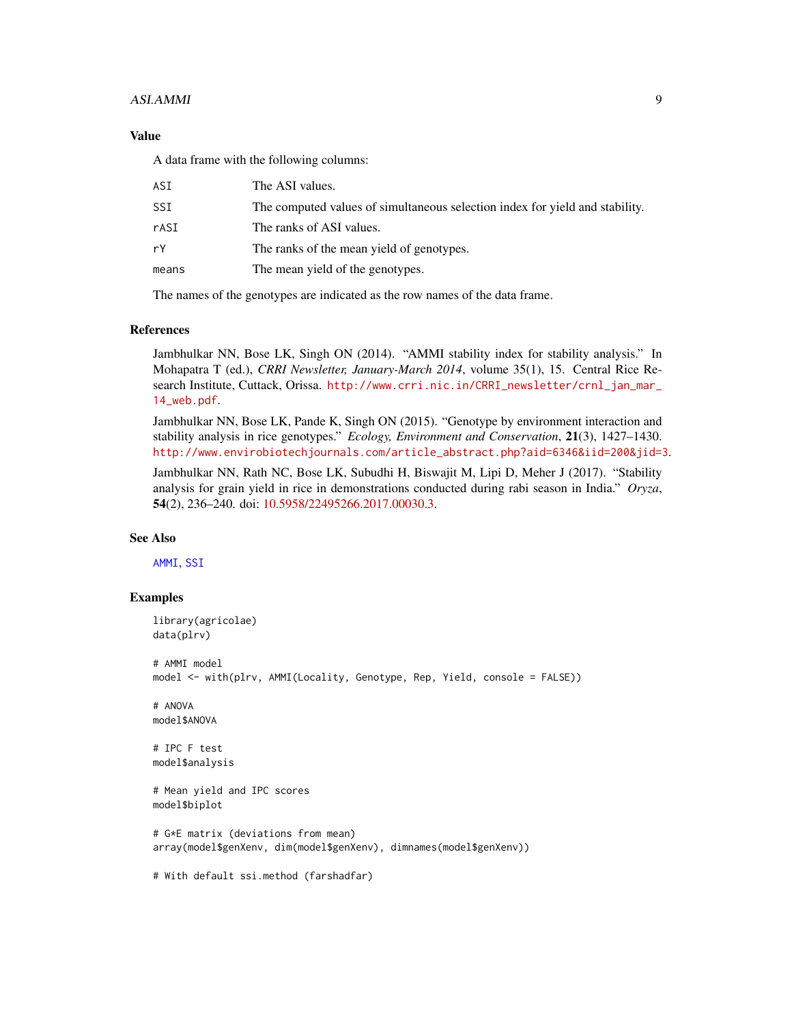#### ASI.AMMI 9

# Value

A data frame with the following columns:

| ASI   | The ASI values.                                                              |
|-------|------------------------------------------------------------------------------|
| SSI   | The computed values of simultaneous selection index for yield and stability. |
| rASI  | The ranks of ASI values.                                                     |
| rY    | The ranks of the mean yield of genotypes.                                    |
| means | The mean yield of the genotypes.                                             |
|       |                                                                              |

The names of the genotypes are indicated as the row names of the data frame.

#### References

Jambhulkar NN, Bose LK, Singh ON (2014). "AMMI stability index for stability analysis." In Mohapatra T (ed.), *CRRI Newsletter, January-March 2014*, volume 35(1), 15. Central Rice Research Institute, Cuttack, Orissa. [http://www.crri.nic.in/CRRI\\_newsletter/crnl\\_jan\\_mar\\_](http://www.crri.nic.in/CRRI_newsletter/crnl_jan_mar_14_web.pdf) [14\\_web.pdf](http://www.crri.nic.in/CRRI_newsletter/crnl_jan_mar_14_web.pdf).

Jambhulkar NN, Bose LK, Pande K, Singh ON (2015). "Genotype by environment interaction and stability analysis in rice genotypes." *Ecology, Environment and Conservation*, 21(3), 1427–1430. [http://www.envirobiotechjournals.com/article\\_abstract.php?aid=6346&iid=200&jid=3](http://www.envirobiotechjournals.com/article_abstract.php?aid=6346&iid=200&jid=3).

Jambhulkar NN, Rath NC, Bose LK, Subudhi H, Biswajit M, Lipi D, Meher J (2017). "Stability analysis for grain yield in rice in demonstrations conducted during rabi season in India." *Oryza*, 54(2), 236–240. doi: [10.5958/22495266.2017.00030.3.](https://doi.org/10.5958/2249-5266.2017.00030.3)

#### See Also

[AMMI](#page-0-0), [SSI](#page-30-1)

```
library(agricolae)
data(plrv)
# AMMI model
model <- with(plrv, AMMI(Locality, Genotype, Rep, Yield, console = FALSE))
# ANOVA
model$ANOVA
# IPC F test
model$analysis
# Mean yield and IPC scores
model$biplot
# G*E matrix (deviations from mean)
array(model$genXenv, dim(model$genXenv), dimnames(model$genXenv))
# With default ssi.method (farshadfar)
```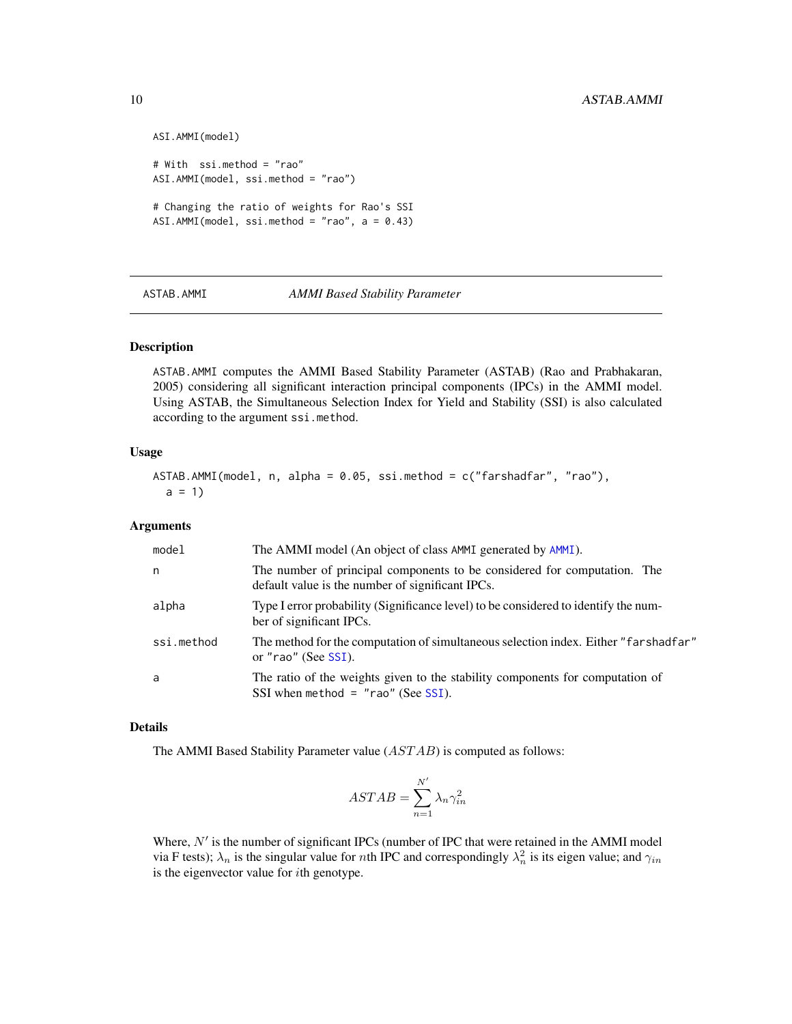```
ASI.AMMI(model)
# With ssi.method = "rao"
ASI.AMMI(model, ssi.method = "rao")
# Changing the ratio of weights for Rao's SSI
ASI.AMMI(model, ssi.method = "rao", a = 0.43)
```
<span id="page-9-1"></span>

ASTAB.AMMI *AMMI Based Stability Parameter*

#### Description

ASTAB.AMMI computes the AMMI Based Stability Parameter (ASTAB) (Rao and Prabhakaran, 2005) considering all significant interaction principal components (IPCs) in the AMMI model. Using ASTAB, the Simultaneous Selection Index for Yield and Stability (SSI) is also calculated according to the argument ssi.method.

#### Usage

```
ASTAB.AMMI(model, n, alpha = 0.05, ssi.method = c("farshadfar", "rao"),
 a = 1
```
#### Arguments

| model      | The AMMI model (An object of class AMMI generated by AMMI).                                                                  |
|------------|------------------------------------------------------------------------------------------------------------------------------|
| n          | The number of principal components to be considered for computation. The<br>default value is the number of significant IPCs. |
| alpha      | Type I error probability (Significance level) to be considered to identify the num-<br>ber of significant IPCs.              |
| ssi.method | The method for the computation of simultaneous selection index. Either "farshadfar"<br>or "rao" (See SSI).                   |
| a          | The ratio of the weights given to the stability components for computation of<br>SSI when method = $"$ rao" (See SSI).       |

#### Details

The AMMI Based Stability Parameter value (AST AB) is computed as follows:

$$
ASTAB = \sum_{n=1}^{N'} \lambda_n \gamma_{in}^2
$$

Where,  $N'$  is the number of significant IPCs (number of IPC that were retained in the AMMI model via F tests);  $\lambda_n$  is the singular value for nth IPC and correspondingly  $\lambda_n^2$  is its eigen value; and  $\gamma_{in}$ is the eigenvector value for ith genotype.

<span id="page-9-0"></span>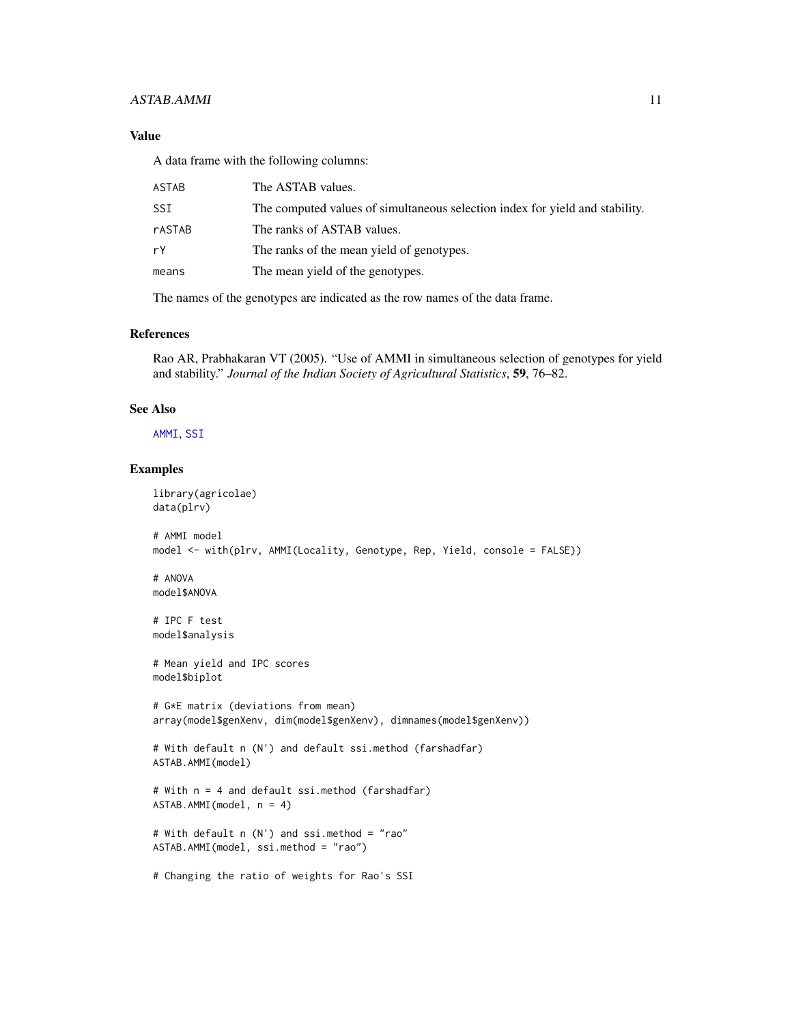# ASTAB.AMMI 11

# Value

A data frame with the following columns:

| ASTAB  | The ASTAB values.                                                            |
|--------|------------------------------------------------------------------------------|
| SSI    | The computed values of simultaneous selection index for yield and stability. |
| rASTAB | The ranks of ASTAB values.                                                   |
| rY     | The ranks of the mean yield of genotypes.                                    |
| means  | The mean yield of the genotypes.                                             |
|        |                                                                              |

The names of the genotypes are indicated as the row names of the data frame.

# References

Rao AR, Prabhakaran VT (2005). "Use of AMMI in simultaneous selection of genotypes for yield and stability." *Journal of the Indian Society of Agricultural Statistics*, 59, 76–82.

#### See Also

[AMMI](#page-0-0), [SSI](#page-30-1)

```
library(agricolae)
data(plrv)
# AMMI model
model <- with(plrv, AMMI(Locality, Genotype, Rep, Yield, console = FALSE))
# ANOVA
model$ANOVA
# IPC F test
model$analysis
# Mean yield and IPC scores
model$biplot
# G*E matrix (deviations from mean)
array(model$genXenv, dim(model$genXenv), dimnames(model$genXenv))
# With default n (N') and default ssi.method (farshadfar)
ASTAB.AMMI(model)
# With n = 4 and default ssi.method (farshadfar)
ASTAB.AMMI(model, n = 4)
# With default n (N') and ssi.method = "rao"
ASTAB.AMMI(model, ssi.method = "rao")
# Changing the ratio of weights for Rao's SSI
```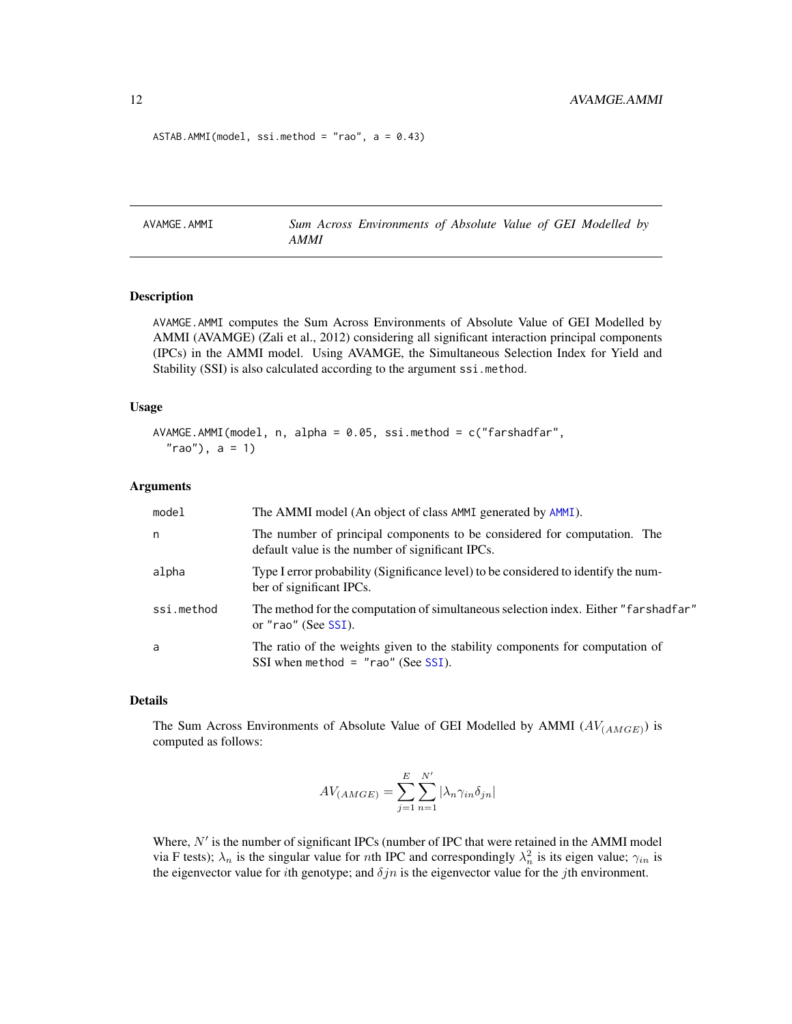```
ASTAB.AMMI (model, ssi.method = "rao", a = 0.43)
```
<span id="page-11-1"></span>AVAMGE.AMMI *Sum Across Environments of Absolute Value of GEI Modelled by AMMI*

#### Description

AVAMGE.AMMI computes the Sum Across Environments of Absolute Value of GEI Modelled by AMMI (AVAMGE) (Zali et al., 2012) considering all significant interaction principal components (IPCs) in the AMMI model. Using AVAMGE, the Simultaneous Selection Index for Yield and Stability (SSI) is also calculated according to the argument ssi.method.

#### Usage

```
AVAMGE.AMMI(model, n, alpha = 0.05, ssi.method = c("farshadfar",
  "rao"), a = 1)
```
#### Arguments

| model      | The AMMI model (An object of class AMMI generated by AMMI).                                                                  |
|------------|------------------------------------------------------------------------------------------------------------------------------|
| n          | The number of principal components to be considered for computation. The<br>default value is the number of significant IPCs. |
| alpha      | Type I error probability (Significance level) to be considered to identify the num-<br>ber of significant IPCs.              |
| ssi.method | The method for the computation of simultaneous selection index. Either "farshadfar"<br>or "rao" (See SSI).                   |
| a          | The ratio of the weights given to the stability components for computation of<br>SSI when method = $"$ rao" (See SSI).       |

#### Details

The Sum Across Environments of Absolute Value of GEI Modelled by AMMI  $(AV_{(AMGE)})$  is computed as follows:

$$
AV_{(AMGE)} = \sum_{j=1}^{E} \sum_{n=1}^{N'} |\lambda_n \gamma_{in} \delta_{jn}|
$$

Where,  $N'$  is the number of significant IPCs (number of IPC that were retained in the AMMI model via F tests);  $\lambda_n$  is the singular value for *n*th IPC and correspondingly  $\lambda_n^2$  is its eigen value;  $\gamma_{in}$  is the eigenvector value for *i*th genotype; and  $\delta jn$  is the eigenvector value for the *j*th environment.

<span id="page-11-0"></span>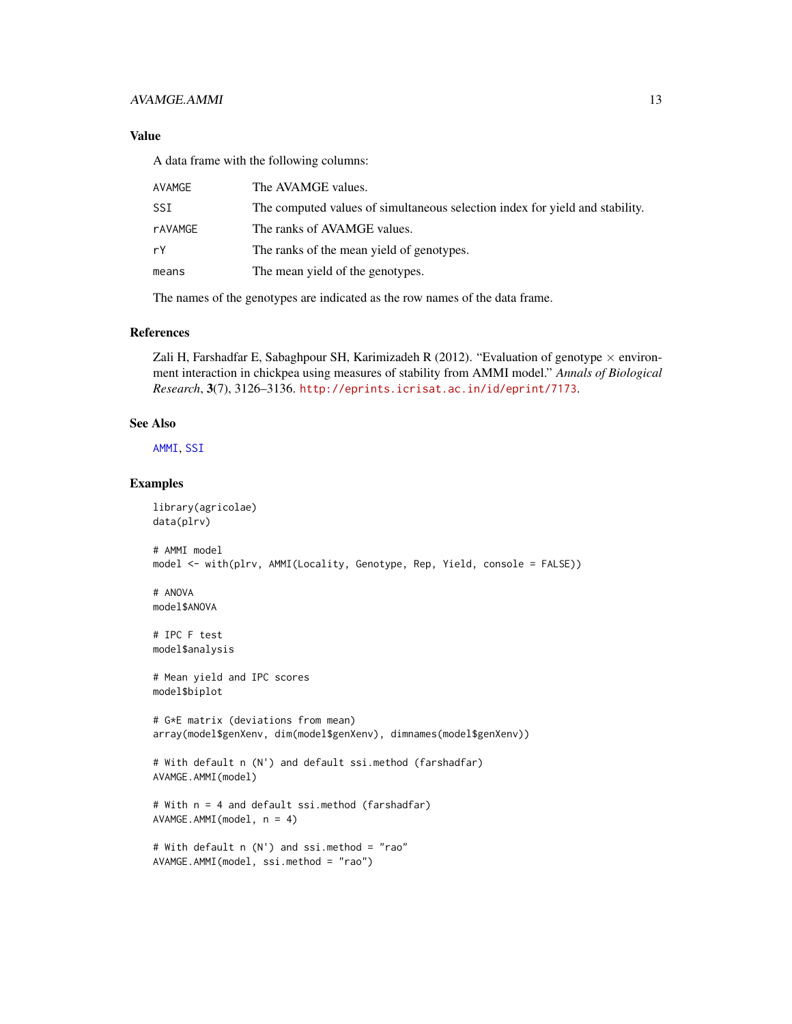# AVAMGE.AMMI 13

# Value

A data frame with the following columns:

| AVAMGE  | The AVAMGE values.                                                           |
|---------|------------------------------------------------------------------------------|
| SSI     | The computed values of simultaneous selection index for yield and stability. |
| rAVAMGE | The ranks of AVAMGE values.                                                  |
| rY      | The ranks of the mean yield of genotypes.                                    |
| means   | The mean yield of the genotypes.                                             |
|         |                                                                              |

The names of the genotypes are indicated as the row names of the data frame.

# References

Zali H, Farshadfar E, Sabaghpour SH, Karimizadeh R (2012). "Evaluation of genotype  $\times$  environment interaction in chickpea using measures of stability from AMMI model." *Annals of Biological Research*, 3(7), 3126–3136. <http://eprints.icrisat.ac.in/id/eprint/7173>.

#### See Also

[AMMI](#page-0-0), [SSI](#page-30-1)

```
library(agricolae)
data(plrv)
# AMMI model
model <- with(plrv, AMMI(Locality, Genotype, Rep, Yield, console = FALSE))
# ANOVA
model$ANOVA
# IPC F test
model$analysis
# Mean yield and IPC scores
model$biplot
# G*E matrix (deviations from mean)
array(model$genXenv, dim(model$genXenv), dimnames(model$genXenv))
# With default n (N') and default ssi.method (farshadfar)
AVAMGE.AMMI(model)
# With n = 4 and default ssi.method (farshadfar)
AVAMGE.AMMI(model, n = 4)
```

```
# With default n (N') and ssi.method = "rao"
AVAMGE.AMMI(model, ssi.method = "rao")
```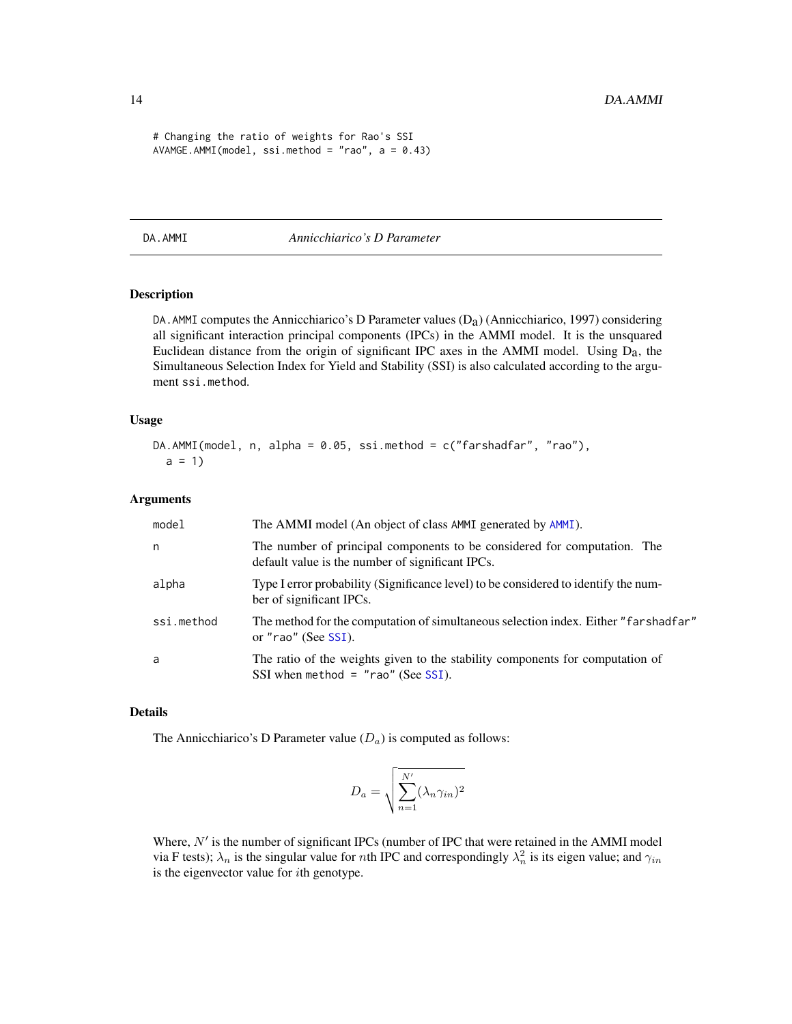```
# Changing the ratio of weights for Rao's SSI
AVAMGE.AMMI(model, ssi.method = "rao", a = 0.43)
```
<span id="page-13-1"></span>DA.AMMI *Annicchiarico's D Parameter*

# Description

DA. AMMI computes the Annicchiarico's D Parameter values  $(D_a)$  (Annicchiarico, 1997) considering all significant interaction principal components (IPCs) in the AMMI model. It is the unsquared Euclidean distance from the origin of significant IPC axes in the AMMI model. Using  $D_a$ , the Simultaneous Selection Index for Yield and Stability (SSI) is also calculated according to the argument ssi.method.

#### Usage

```
DA.AMMI(model, n, alpha = 0.05, ssi.method = c("farshadfar", "rao"),
  a = 1
```
#### Arguments

| model      | The AMMI model (An object of class AMMI generated by AMMI).                                                                  |
|------------|------------------------------------------------------------------------------------------------------------------------------|
| n          | The number of principal components to be considered for computation. The<br>default value is the number of significant IPCs. |
| alpha      | Type I error probability (Significance level) to be considered to identify the num-<br>ber of significant IPCs.              |
| ssi.method | The method for the computation of simultaneous selection index. Either "farshadfar"<br>or "rao" (See SSI).                   |
| a          | The ratio of the weights given to the stability components for computation of<br>SSI when method = $"$ rao" (See SSI).       |

# Details

The Annicchiarico's D Parameter value  $(D_a)$  is computed as follows:

$$
D_a = \sqrt{\sum_{n=1}^{N'} (\lambda_n \gamma_{in})^2}
$$

Where,  $N'$  is the number of significant IPCs (number of IPC that were retained in the AMMI model via F tests);  $\lambda_n$  is the singular value for nth IPC and correspondingly  $\lambda_n^2$  is its eigen value; and  $\gamma_{in}$ is the eigenvector value for  $i$ th genotype.

<span id="page-13-0"></span>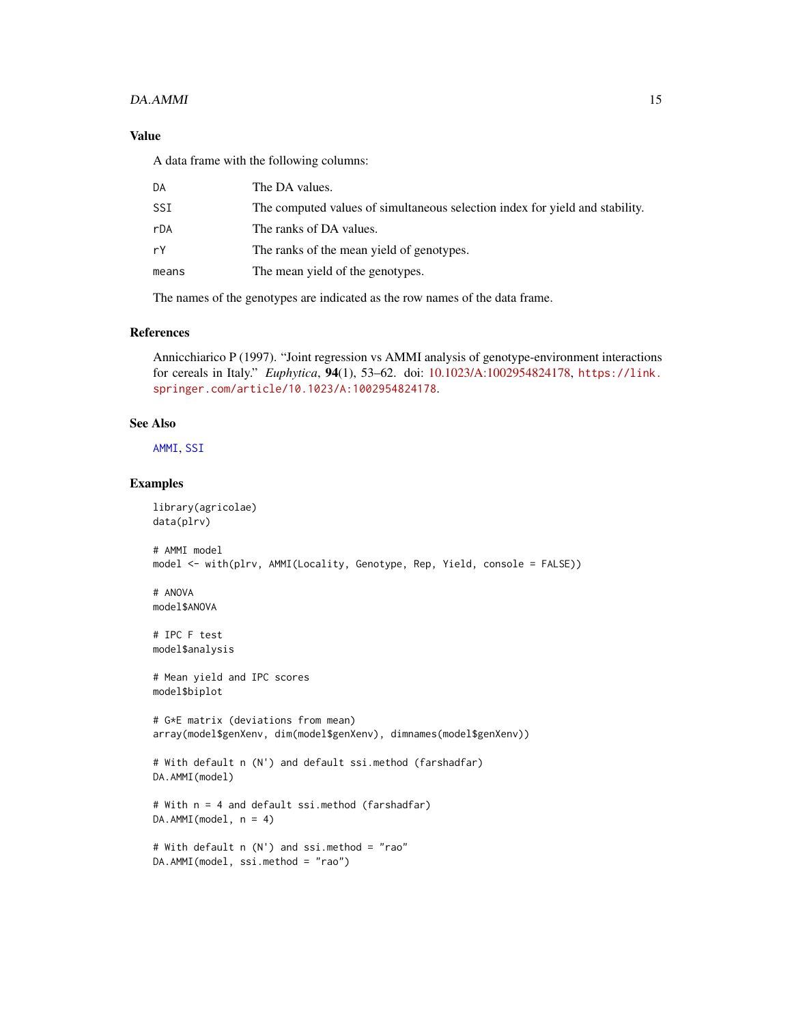#### $DA.AMMI$  15

# Value

A data frame with the following columns:

| DA    | The DA values.                                                               |
|-------|------------------------------------------------------------------------------|
| SSI   | The computed values of simultaneous selection index for yield and stability. |
| rDA   | The ranks of DA values.                                                      |
| rY    | The ranks of the mean yield of genotypes.                                    |
| means | The mean yield of the genotypes.                                             |
|       |                                                                              |

The names of the genotypes are indicated as the row names of the data frame.

# References

Annicchiarico P (1997). "Joint regression vs AMMI analysis of genotype-environment interactions for cereals in Italy." *Euphytica*, 94(1), 53–62. doi: [10.1023/A:1002954824178,](https://doi.org/10.1023/A:1002954824178) [https://link.](https://link.springer.com/article/10.1023/A:1002954824178) [springer.com/article/10.1023/A:1002954824178](https://link.springer.com/article/10.1023/A:1002954824178).

#### See Also

[AMMI](#page-0-0), [SSI](#page-30-1)

```
library(agricolae)
data(plrv)
# AMMI model
model <- with(plrv, AMMI(Locality, Genotype, Rep, Yield, console = FALSE))
# ANOVA
model$ANOVA
# IPC F test
model$analysis
# Mean yield and IPC scores
model$biplot
# G*E matrix (deviations from mean)
array(model$genXenv, dim(model$genXenv), dimnames(model$genXenv))
# With default n (N') and default ssi.method (farshadfar)
DA.AMMI(model)
# With n = 4 and default ssi.method (farshadfar)
DA.AMMI(model, n = 4)
# With default n (N') and ssi.method = "rao"
DA.AMMI(model, ssi.method = "rao")
```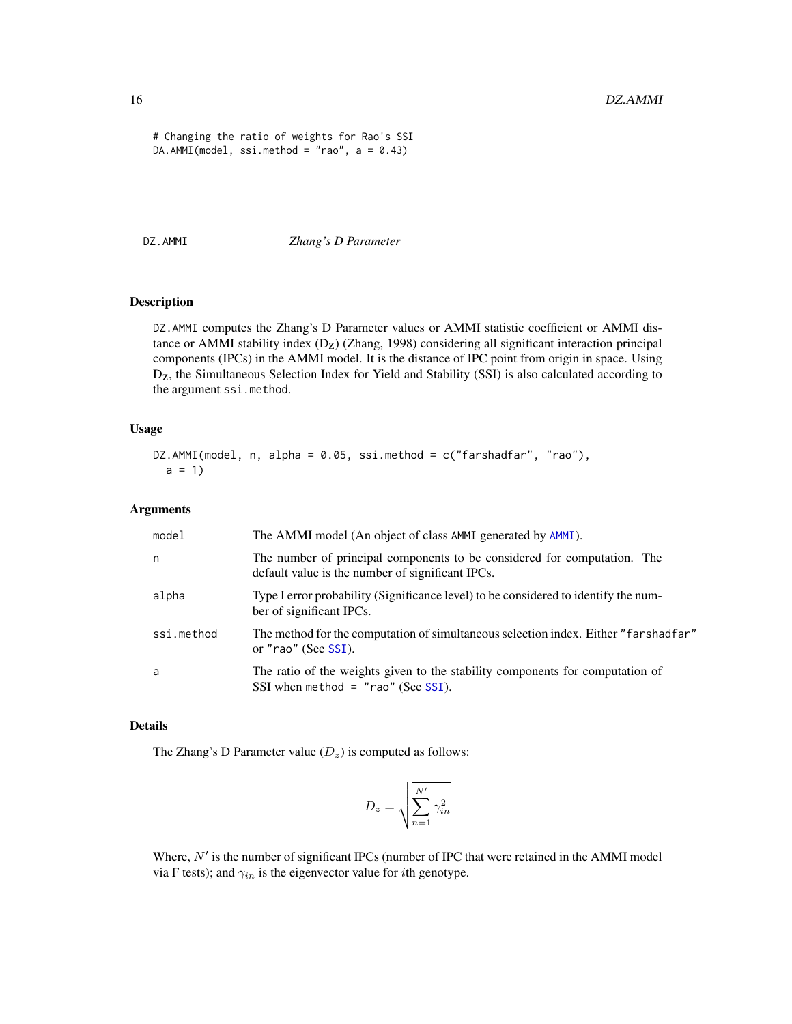```
# Changing the ratio of weights for Rao's SSI
DA.AMMI(model, ssi.method = "rao", a = 0.43)
```
<span id="page-15-1"></span>DZ.AMMI *Zhang's D Parameter*

# Description

DZ.AMMI computes the Zhang's D Parameter values or AMMI statistic coefficient or AMMI distance or AMMI stability index  $(D_Z)$  (Zhang, 1998) considering all significant interaction principal components (IPCs) in the AMMI model. It is the distance of IPC point from origin in space. Using Dz, the Simultaneous Selection Index for Yield and Stability (SSI) is also calculated according to the argument ssi.method.

#### Usage

```
DZ.AMMI(model, n, alpha = 0.05, ssi.method = c("farshadfar", "rao"),
  a = 1
```
#### Arguments

| model      | The AMMI model (An object of class AMMI generated by AMMI).                                                                  |
|------------|------------------------------------------------------------------------------------------------------------------------------|
| n.         | The number of principal components to be considered for computation. The<br>default value is the number of significant IPCs. |
| alpha      | Type I error probability (Significance level) to be considered to identify the num-<br>ber of significant IPCs.              |
| ssi.method | The method for the computation of simultaneous selection index. Either "farshadfar"<br>or "rao" (See SSI).                   |
| a          | The ratio of the weights given to the stability components for computation of<br>SSI when method = $"$ rao" (See SSI).       |

#### Details

The Zhang's D Parameter value  $(D_z)$  is computed as follows:

$$
D_z = \sqrt{\sum_{n=1}^{N'} \gamma_{in}^2}
$$

Where,  $N'$  is the number of significant IPCs (number of IPC that were retained in the AMMI model via F tests); and  $\gamma_{in}$  is the eigenvector value for *i*th genotype.

<span id="page-15-0"></span>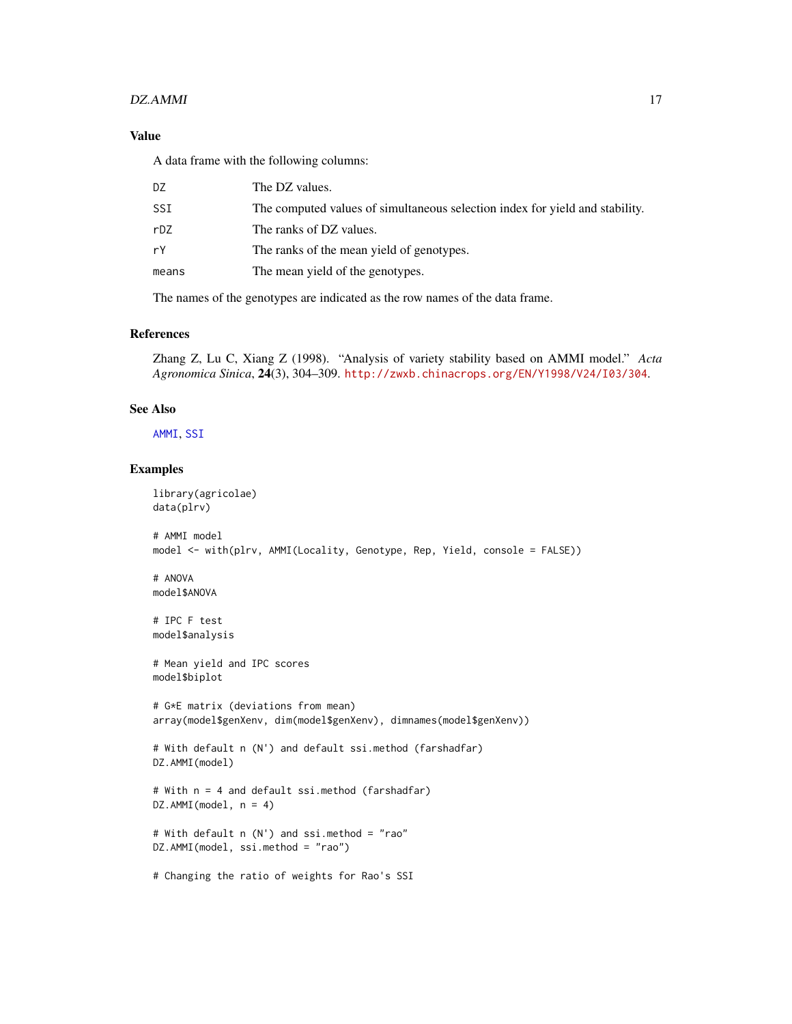#### $DZ.AMMI$  17

# Value

A data frame with the following columns:

| DZ    | The DZ values.                                                               |
|-------|------------------------------------------------------------------------------|
| SSI   | The computed values of simultaneous selection index for yield and stability. |
| rDZ   | The ranks of DZ values.                                                      |
| rY    | The ranks of the mean yield of genotypes.                                    |
| means | The mean yield of the genotypes.                                             |
|       |                                                                              |

The names of the genotypes are indicated as the row names of the data frame.

# References

Zhang Z, Lu C, Xiang Z (1998). "Analysis of variety stability based on AMMI model." *Acta Agronomica Sinica*, 24(3), 304–309. <http://zwxb.chinacrops.org/EN/Y1998/V24/I03/304>.

#### See Also

[AMMI](#page-0-0), [SSI](#page-30-1)

```
library(agricolae)
data(plrv)
# AMMI model
model <- with(plrv, AMMI(Locality, Genotype, Rep, Yield, console = FALSE))
# ANOVA
model$ANOVA
# IPC F test
model$analysis
# Mean yield and IPC scores
model$biplot
# G*E matrix (deviations from mean)
array(model$genXenv, dim(model$genXenv), dimnames(model$genXenv))
# With default n (N') and default ssi.method (farshadfar)
DZ.AMMI(model)
# With n = 4 and default ssi.method (farshadfar)
DZ.AMMI(model, n = 4)
# With default n (N') and ssi.method = "rao"
DZ.AMMI(model, ssi.method = "rao")
# Changing the ratio of weights for Rao's SSI
```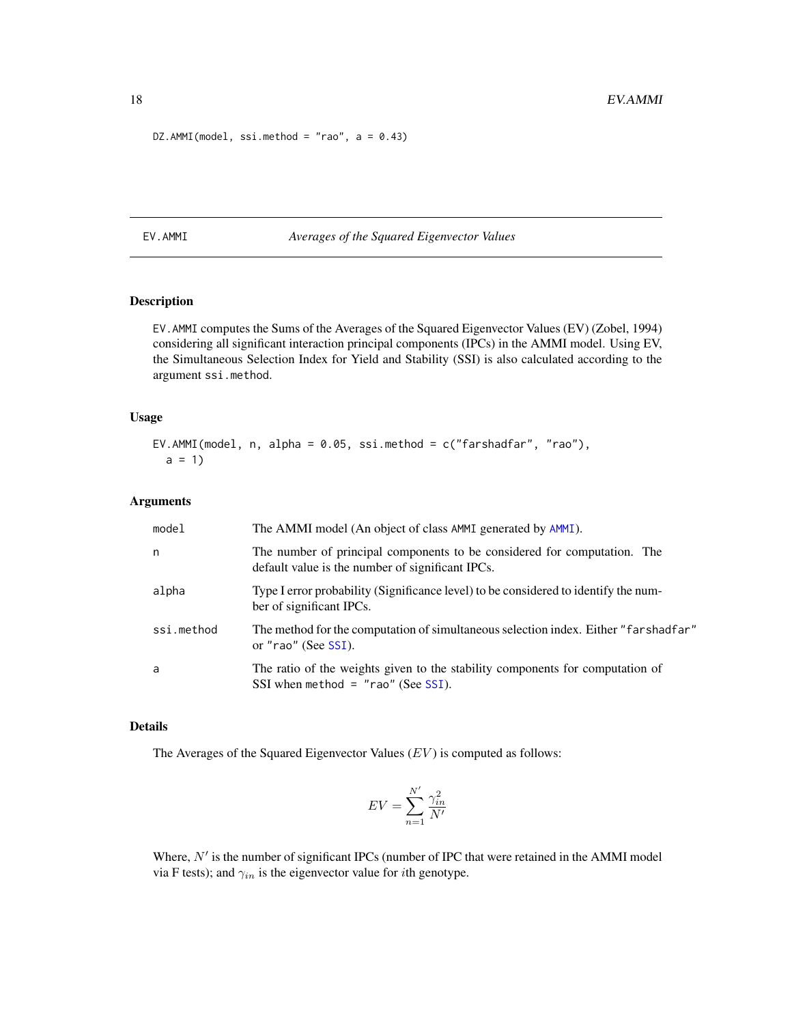```
DZ.AMMI(model, ssi.method = "rao", a = 0.43)
```
<span id="page-17-1"></span>EV.AMMI *Averages of the Squared Eigenvector Values*

# Description

EV.AMMI computes the Sums of the Averages of the Squared Eigenvector Values (EV) (Zobel, 1994) considering all significant interaction principal components (IPCs) in the AMMI model. Using EV, the Simultaneous Selection Index for Yield and Stability (SSI) is also calculated according to the argument ssi.method.

#### Usage

```
EV.AMMI(model, n, alpha = 0.05, ssi.method = c("farshadfar", "rao"),
  a = 1
```
#### Arguments

| model      | The AMMI model (An object of class AMMI generated by AMMI).                                                                  |
|------------|------------------------------------------------------------------------------------------------------------------------------|
| n          | The number of principal components to be considered for computation. The<br>default value is the number of significant IPCs. |
| alpha      | Type I error probability (Significance level) to be considered to identify the num-<br>ber of significant IPCs.              |
| ssi.method | The method for the computation of simultaneous selection index. Either "farshadfar"<br>or "rao" (See SSI).                   |
| a          | The ratio of the weights given to the stability components for computation of<br>SSI when method $=$ "rao" (See SSI).        |

# Details

The Averages of the Squared Eigenvector Values  $(EV)$  is computed as follows:

$$
EV = \sum_{n=1}^{N'} \frac{\gamma_{in}^2}{N'}
$$

Where,  $N'$  is the number of significant IPCs (number of IPC that were retained in the AMMI model via F tests); and  $\gamma_{in}$  is the eigenvector value for *i*th genotype.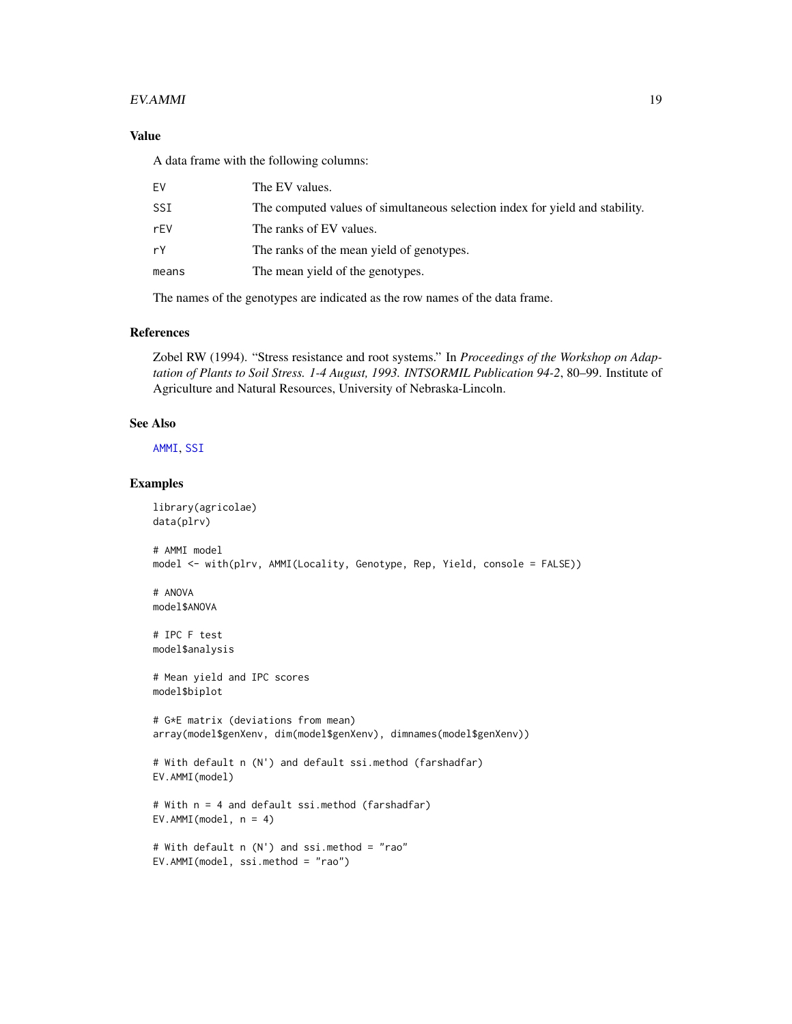#### $EV. AMMI$  19

# Value

A data frame with the following columns:

| F٧    | The EV values.                                                               |
|-------|------------------------------------------------------------------------------|
| SSI   | The computed values of simultaneous selection index for yield and stability. |
| rFV   | The ranks of EV values.                                                      |
| rY    | The ranks of the mean yield of genotypes.                                    |
| means | The mean yield of the genotypes.                                             |
|       |                                                                              |

The names of the genotypes are indicated as the row names of the data frame.

# References

Zobel RW (1994). "Stress resistance and root systems." In *Proceedings of the Workshop on Adaptation of Plants to Soil Stress. 1-4 August, 1993. INTSORMIL Publication 94-2*, 80–99. Institute of Agriculture and Natural Resources, University of Nebraska-Lincoln.

# See Also

[AMMI](#page-0-0), [SSI](#page-30-1)

```
library(agricolae)
data(plrv)
# AMMI model
model <- with(plrv, AMMI(Locality, Genotype, Rep, Yield, console = FALSE))
# ANOVA
model$ANOVA
# IPC F test
model$analysis
# Mean yield and IPC scores
model$biplot
# G*E matrix (deviations from mean)
array(model$genXenv, dim(model$genXenv), dimnames(model$genXenv))
# With default n (N') and default ssi.method (farshadfar)
EV.AMMI(model)
# With n = 4 and default ssi.method (farshadfar)
EV.AMMI(model, n = 4)
# With default n (N') and ssi.method = "rao"
```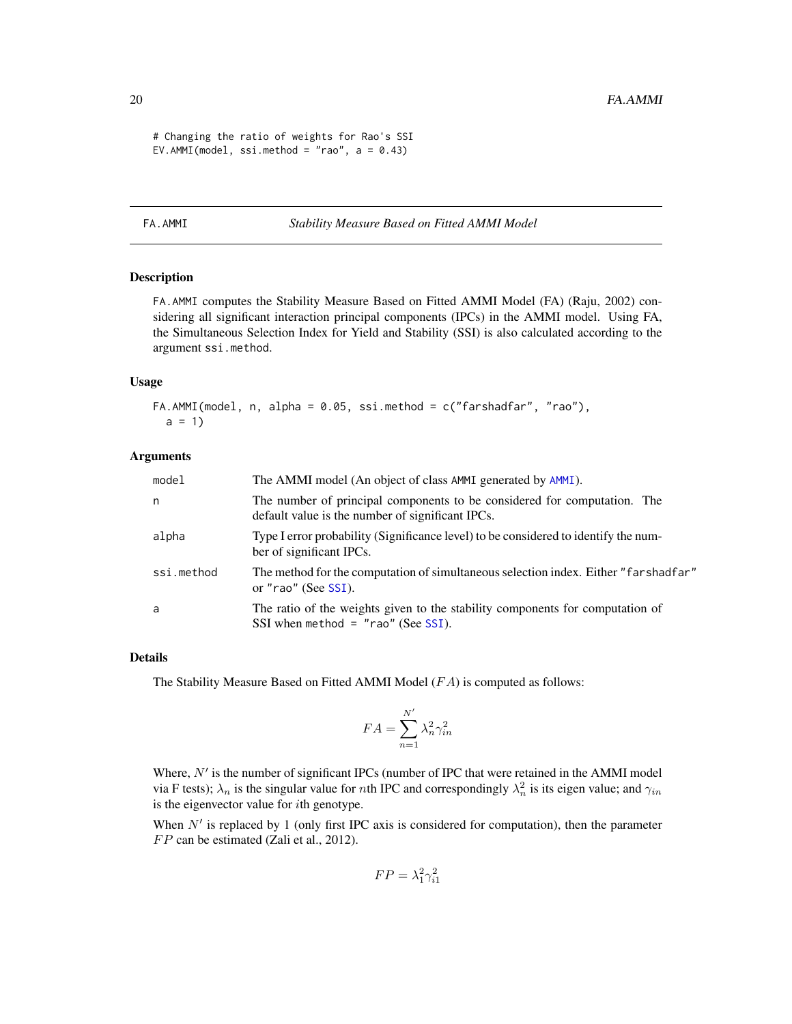```
# Changing the ratio of weights for Rao's SSI
EV.AMMI(model, ssi.method = "rao", a = 0.43)
```
#### <span id="page-19-1"></span>FA.AMMI *Stability Measure Based on Fitted AMMI Model*

# Description

FA.AMMI computes the Stability Measure Based on Fitted AMMI Model (FA) (Raju, 2002) considering all significant interaction principal components (IPCs) in the AMMI model. Using FA, the Simultaneous Selection Index for Yield and Stability (SSI) is also calculated according to the argument ssi.method.

#### Usage

```
FA.AMMI(model, n, alpha = 0.05, ssi.method = c("farshadfar", "rao"),a = 1
```
#### Arguments

| model      | The AMMI model (An object of class AMMI generated by AMMI).                                                                  |
|------------|------------------------------------------------------------------------------------------------------------------------------|
| n          | The number of principal components to be considered for computation. The<br>default value is the number of significant IPCs. |
| alpha      | Type I error probability (Significance level) to be considered to identify the num-<br>ber of significant IPCs.              |
| ssi.method | The method for the computation of simultaneous selection index. Either "farshadfar"<br>or "rao" (See SSI).                   |
| a          | The ratio of the weights given to the stability components for computation of<br>SSI when method = $"$ rao" (See SSI).       |

#### Details

The Stability Measure Based on Fitted AMMI Model  $(FA)$  is computed as follows:

$$
FA = \sum_{n=1}^{N'} \lambda_n^2 \gamma_{in}^2
$$

Where,  $N'$  is the number of significant IPCs (number of IPC that were retained in the AMMI model via F tests);  $\lambda_n$  is the singular value for *n*th IPC and correspondingly  $\lambda_n^2$  is its eigen value; and  $\gamma_{in}$ is the eigenvector value for  $i$ th genotype.

When  $N'$  is replaced by 1 (only first IPC axis is considered for computation), then the parameter  $FP$  can be estimated (Zali et al., 2012).

$$
FP = \lambda_1^2 \gamma_{i1}^2
$$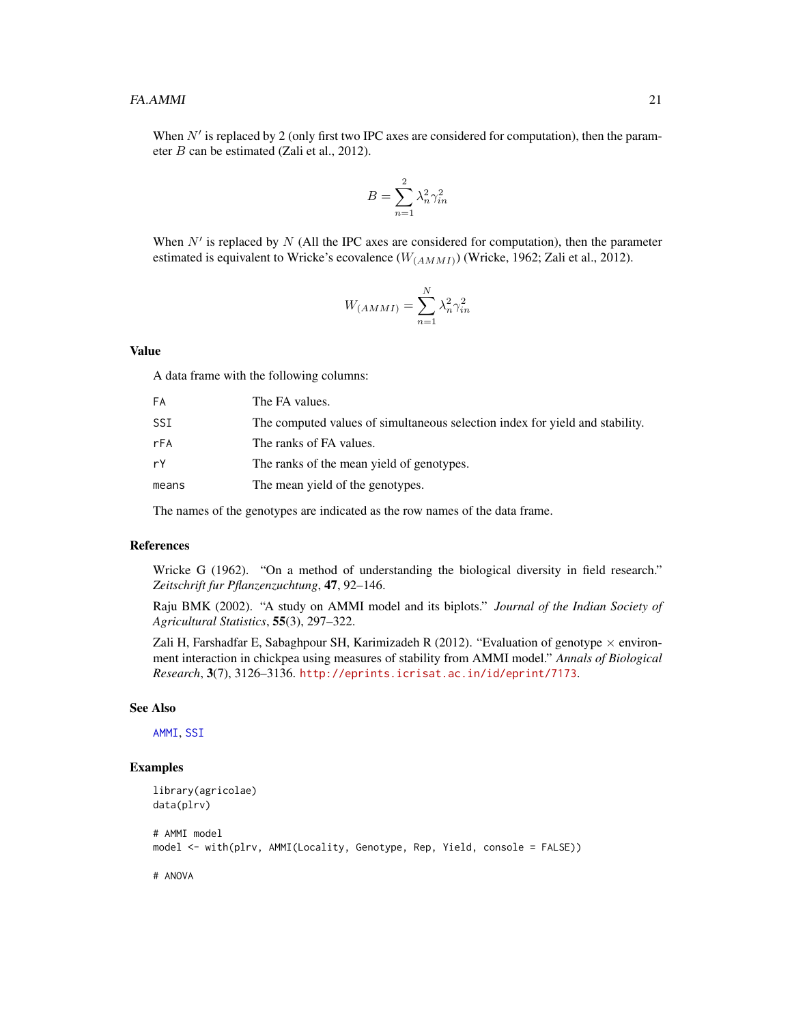<span id="page-20-0"></span>When  $N'$  is replaced by 2 (only first two IPC axes are considered for computation), then the parameter B can be estimated (Zali et al., 2012).

$$
B = \sum_{n=1}^{2} \lambda_n^2 \gamma_{in}^2
$$

When  $N'$  is replaced by  $N$  (All the IPC axes are considered for computation), then the parameter estimated is equivalent to Wricke's ecovalence  $(W_{(AMMI)})$  (Wricke, 1962; Zali et al., 2012).

$$
W_{(AMMI)} = \sum_{n=1}^{N} \lambda_n^2 \gamma_{in}^2
$$

#### Value

A data frame with the following columns:

| FА    | The FA values.                                                               |
|-------|------------------------------------------------------------------------------|
| SSI   | The computed values of simultaneous selection index for yield and stability. |
| rFA   | The ranks of FA values.                                                      |
| rY    | The ranks of the mean yield of genotypes.                                    |
| means | The mean yield of the genotypes.                                             |
|       |                                                                              |

The names of the genotypes are indicated as the row names of the data frame.

#### References

Wricke G (1962). "On a method of understanding the biological diversity in field research." *Zeitschrift fur Pflanzenzuchtung*, 47, 92–146.

Raju BMK (2002). "A study on AMMI model and its biplots." *Journal of the Indian Society of Agricultural Statistics*, 55(3), 297–322.

Zali H, Farshadfar E, Sabaghpour SH, Karimizadeh R (2012). "Evaluation of genotype  $\times$  environment interaction in chickpea using measures of stability from AMMI model." *Annals of Biological Research*, 3(7), 3126–3136. <http://eprints.icrisat.ac.in/id/eprint/7173>.

#### See Also

[AMMI](#page-0-0), [SSI](#page-30-1)

```
library(agricolae)
data(plrv)
# AMMI model
model <- with(plrv, AMMI(Locality, Genotype, Rep, Yield, console = FALSE))
```

```
# ANOVA
```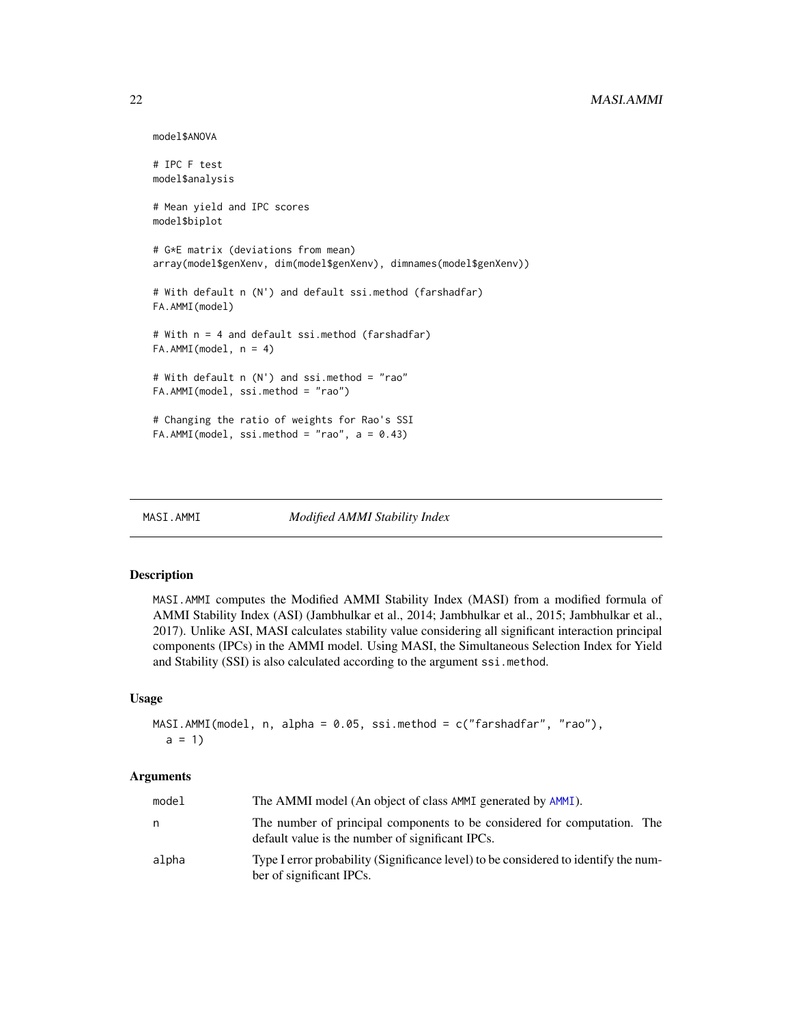```
model$ANOVA
# IPC F test
model$analysis
# Mean yield and IPC scores
model$biplot
# G*E matrix (deviations from mean)
array(model$genXenv, dim(model$genXenv), dimnames(model$genXenv))
# With default n (N') and default ssi.method (farshadfar)
FA.AMMI(model)
# With n = 4 and default ssi.method (farshadfar)
FA.AMMI(model, n = 4)
# With default n (N') and ssi.method = "rao"
FA.AMMI(model, ssi.method = "rao")
# Changing the ratio of weights for Rao's SSI
FA.AMMI(model, ssi.method = "rao", a = 0.43)
```
MASI.AMMI *Modified AMMI Stability Index*

# Description

MASI.AMMI computes the Modified AMMI Stability Index (MASI) from a modified formula of AMMI Stability Index (ASI) (Jambhulkar et al., 2014; Jambhulkar et al., 2015; Jambhulkar et al., 2017). Unlike ASI, MASI calculates stability value considering all significant interaction principal components (IPCs) in the AMMI model. Using MASI, the Simultaneous Selection Index for Yield and Stability (SSI) is also calculated according to the argument ssi.method.

#### Usage

```
MASI.AMMI(model, n, alpha = 0.05, ssi.method = c("farshadfar", "rao"),
 a = 1
```
#### Arguments

| model | The AMMI model (An object of class AMMI generated by AMMI).                                                                  |
|-------|------------------------------------------------------------------------------------------------------------------------------|
| n     | The number of principal components to be considered for computation. The<br>default value is the number of significant IPCs. |
| alpha | Type I error probability (Significance level) to be considered to identify the num-<br>ber of significant IPCs.              |

<span id="page-21-0"></span>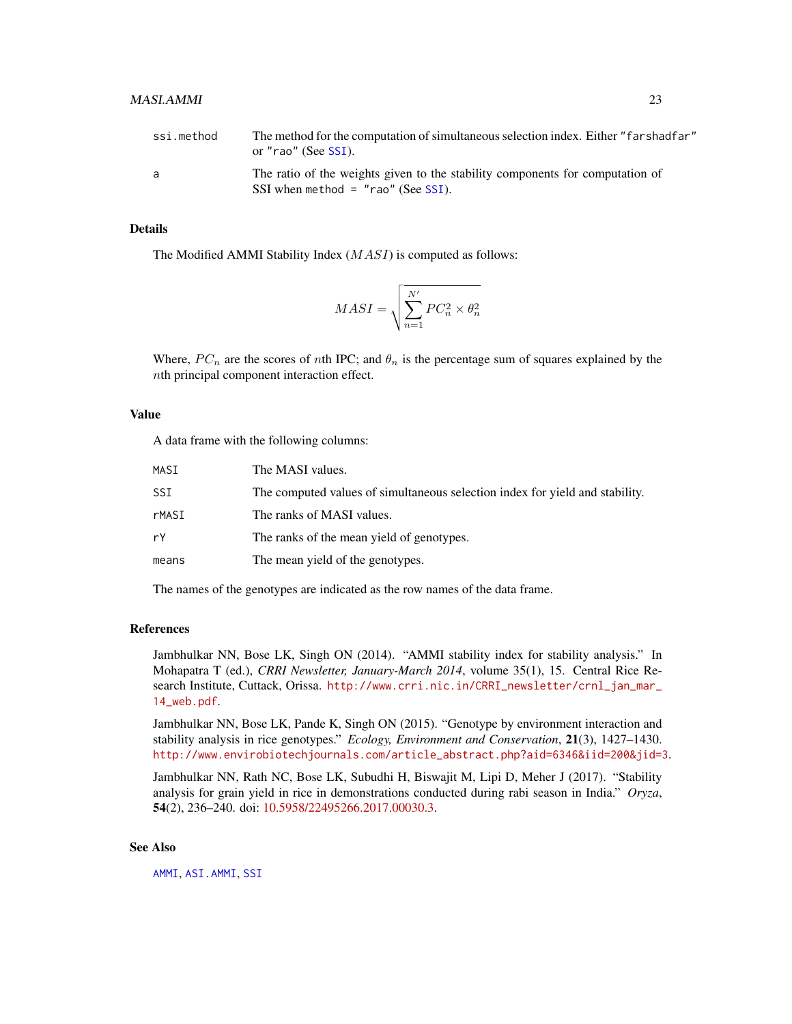<span id="page-22-0"></span>

| ssi.method | The method for the computation of simultaneous selection index. Either "farshadfar"<br>or "rao" (See SSI).            |
|------------|-----------------------------------------------------------------------------------------------------------------------|
| a          | The ratio of the weights given to the stability components for computation of<br>SSI when method $=$ "rao" (See SSI). |

# Details

The Modified AMMI Stability Index (MASI) is computed as follows:

$$
MASI = \sqrt{\sum_{n=1}^{N'} PC_n^2 \times \theta_n^2}
$$

Where,  $PC_n$  are the scores of nth IPC; and  $\theta_n$  is the percentage sum of squares explained by the nth principal component interaction effect.

# Value

A data frame with the following columns:

| MASI  | The MASI values.                                                             |
|-------|------------------------------------------------------------------------------|
| SSI   | The computed values of simultaneous selection index for yield and stability. |
| rMASI | The ranks of MASI values.                                                    |
| rY    | The ranks of the mean yield of genotypes.                                    |
| means | The mean yield of the genotypes.                                             |

The names of the genotypes are indicated as the row names of the data frame.

# References

Jambhulkar NN, Bose LK, Singh ON (2014). "AMMI stability index for stability analysis." In Mohapatra T (ed.), *CRRI Newsletter, January-March 2014*, volume 35(1), 15. Central Rice Research Institute, Cuttack, Orissa. [http://www.crri.nic.in/CRRI\\_newsletter/crnl\\_jan\\_mar\\_](http://www.crri.nic.in/CRRI_newsletter/crnl_jan_mar_14_web.pdf) [14\\_web.pdf](http://www.crri.nic.in/CRRI_newsletter/crnl_jan_mar_14_web.pdf).

Jambhulkar NN, Bose LK, Pande K, Singh ON (2015). "Genotype by environment interaction and stability analysis in rice genotypes." *Ecology, Environment and Conservation*, 21(3), 1427–1430. [http://www.envirobiotechjournals.com/article\\_abstract.php?aid=6346&iid=200&jid=3](http://www.envirobiotechjournals.com/article_abstract.php?aid=6346&iid=200&jid=3).

Jambhulkar NN, Rath NC, Bose LK, Subudhi H, Biswajit M, Lipi D, Meher J (2017). "Stability analysis for grain yield in rice in demonstrations conducted during rabi season in India." *Oryza*, 54(2), 236–240. doi: [10.5958/22495266.2017.00030.3.](https://doi.org/10.5958/2249-5266.2017.00030.3)

# See Also

[AMMI](#page-0-0), [ASI.AMMI](#page-7-1), [SSI](#page-30-1)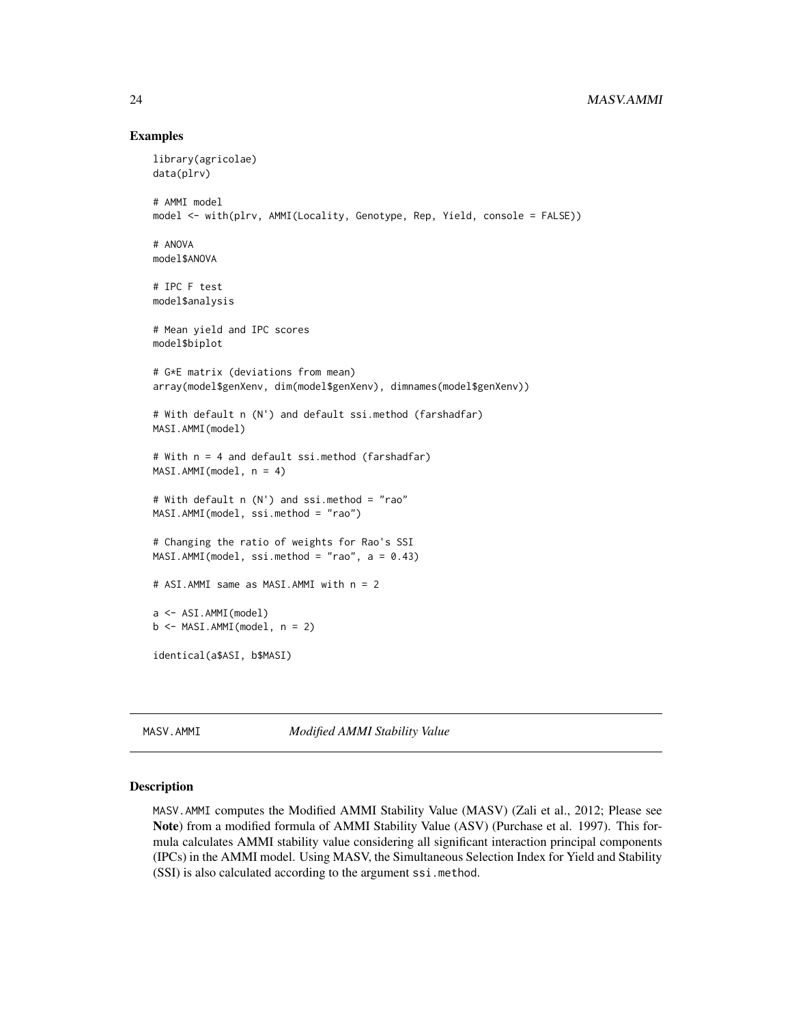# <span id="page-23-0"></span>24 MASV.AMMI

#### Examples

```
library(agricolae)
data(plrv)
# AMMI model
model <- with(plrv, AMMI(Locality, Genotype, Rep, Yield, console = FALSE))
# ANOVA
model$ANOVA
# IPC F test
model$analysis
# Mean yield and IPC scores
model$biplot
# G*E matrix (deviations from mean)
array(model$genXenv, dim(model$genXenv), dimnames(model$genXenv))
# With default n (N') and default ssi.method (farshadfar)
MASI.AMMI(model)
# With n = 4 and default ssi.method (farshadfar)
MASI.AMMI(model, n = 4)
# With default n (N') and ssi.method = "rao"
MASI.AMMI(model, ssi.method = "rao")
# Changing the ratio of weights for Rao's SSI
MASI.AMMI(model, ssi.method = "rao", a = 0.43)
# ASI.AMMI same as MASI.AMMI with n = 2
a <- ASI.AMMI(model)
b \leftarrow \text{MASI.AMMI}(\text{model}, n = 2)identical(a$ASI, b$MASI)
```
<span id="page-23-1"></span>MASV.AMMI *Modified AMMI Stability Value*

#### Description

MASV.AMMI computes the Modified AMMI Stability Value (MASV) (Zali et al., 2012; Please see Note) from a modified formula of AMMI Stability Value (ASV) (Purchase et al. 1997). This formula calculates AMMI stability value considering all significant interaction principal components (IPCs) in the AMMI model. Using MASV, the Simultaneous Selection Index for Yield and Stability (SSI) is also calculated according to the argument ssi.method.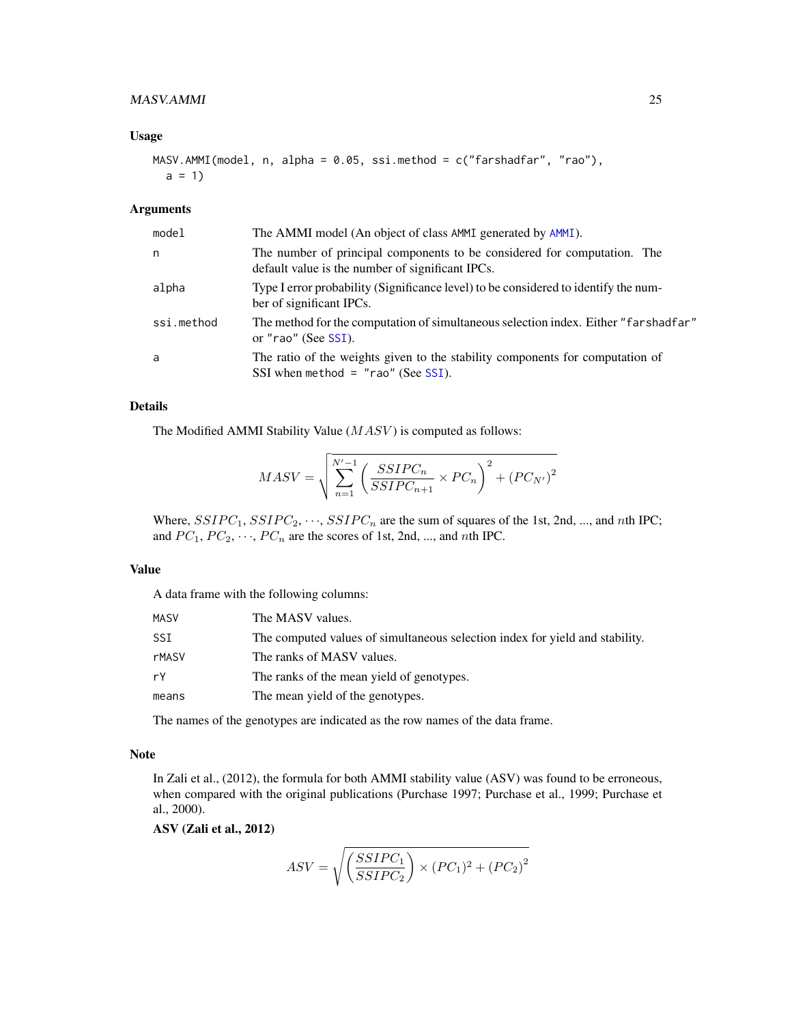# <span id="page-24-0"></span>MASV.AMMI 25

#### Usage

```
MASV.AMMI(model, n, alpha = 0.05, ssi.method = c("farshadfar", "rao"),
 a = 1
```
# Arguments

| model      | The AMMI model (An object of class AMMI generated by AMMI).                                                                  |
|------------|------------------------------------------------------------------------------------------------------------------------------|
| n          | The number of principal components to be considered for computation. The<br>default value is the number of significant IPCs. |
| alpha      | Type I error probability (Significance level) to be considered to identify the num-<br>ber of significant IPCs.              |
| ssi.method | The method for the computation of simultaneous selection index. Either "farshadfar"<br>or "rao" (See SSI).                   |
| a          | The ratio of the weights given to the stability components for computation of<br>SSI when method = $"$ rao" (See SSI).       |

# Details

The Modified AMMI Stability Value  $(MASV)$  is computed as follows:

$$
MASV = \sqrt{\sum_{n=1}^{N'-1} \left( \frac{SSIPC_n}{SSIPC_{n+1}} \times PC_n \right)^2 + \left( PC_{N'} \right)^2}
$$

Where,  $SSIPC_1$ ,  $SSIPC_2$ ,  $\cdots$ ,  $SSIPC_n$  are the sum of squares of the 1st, 2nd, ..., and nth IPC; and  $PC_1$ ,  $PC_2$ ,  $\cdots$ ,  $PC_n$  are the scores of 1st, 2nd, ..., and nth IPC.

# Value

A data frame with the following columns:

| MASV         | The MASV values.                                                             |
|--------------|------------------------------------------------------------------------------|
| SSI          | The computed values of simultaneous selection index for yield and stability. |
| <b>rMASV</b> | The ranks of MASV values.                                                    |
| rY           | The ranks of the mean yield of genotypes.                                    |
| means        | The mean yield of the genotypes.                                             |

The names of the genotypes are indicated as the row names of the data frame.

#### Note

In Zali et al., (2012), the formula for both AMMI stability value (ASV) was found to be erroneous, when compared with the original publications (Purchase 1997; Purchase et al., 1999; Purchase et al., 2000).

ASV (Zali et al., 2012)

$$
ASV = \sqrt{\left(\frac{SSIPC_1}{SSIPC_2}\right) \times (PC_1)^2 + (PC_2)^2}
$$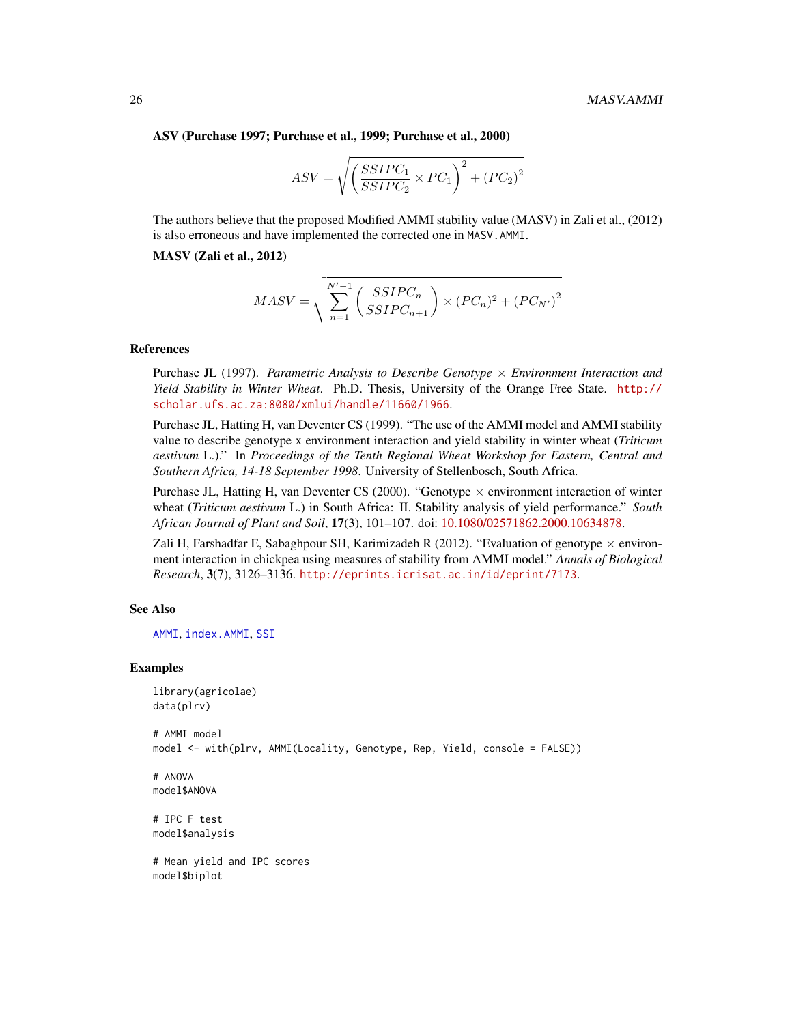<span id="page-25-0"></span>ASV (Purchase 1997; Purchase et al., 1999; Purchase et al., 2000)

$$
ASV = \sqrt{\left(\frac{SSIPC_1}{SSIDC_2} \times PC_1\right)^2 + \left(PC_2\right)^2}
$$

The authors believe that the proposed Modified AMMI stability value (MASV) in Zali et al., (2012) is also erroneous and have implemented the corrected one in MASV.AMMI.

MASV (Zali et al., 2012)

$$
MASV = \sqrt{\sum_{n=1}^{N'-1} \left( \frac{SSIPC_n}{SSIPC_{n+1}} \right) \times \left( PC_n \right)^2 + \left( PC_{N'} \right)^2}
$$

# References

Purchase JL (1997). *Parametric Analysis to Describe Genotype* × *Environment Interaction and Yield Stability in Winter Wheat*. Ph.D. Thesis, University of the Orange Free State. [http://](http://scholar.ufs.ac.za:8080/xmlui/handle/11660/1966) [scholar.ufs.ac.za:8080/xmlui/handle/11660/1966](http://scholar.ufs.ac.za:8080/xmlui/handle/11660/1966).

Purchase JL, Hatting H, van Deventer CS (1999). "The use of the AMMI model and AMMI stability value to describe genotype x environment interaction and yield stability in winter wheat (*Triticum aestivum* L.)." In *Proceedings of the Tenth Regional Wheat Workshop for Eastern, Central and Southern Africa, 14-18 September 1998*. University of Stellenbosch, South Africa.

Purchase JL, Hatting H, van Deventer CS (2000). "Genotype  $\times$  environment interaction of winter wheat (*Triticum aestivum* L.) in South Africa: II. Stability analysis of yield performance." *South African Journal of Plant and Soil*, 17(3), 101–107. doi: [10.1080/02571862.2000.10634878.](https://doi.org/10.1080/02571862.2000.10634878)

Zali H, Farshadfar E, Sabaghpour SH, Karimizadeh R (2012). "Evaluation of genotype  $\times$  environment interaction in chickpea using measures of stability from AMMI model." *Annals of Biological Research*, 3(7), 3126–3136. <http://eprints.icrisat.ac.in/id/eprint/7173>.

#### See Also

[AMMI](#page-0-0), [index.AMMI](#page-0-0), [SSI](#page-30-1)

#### Examples

```
library(agricolae)
data(plrv)
```
# AMMI model model <- with(plrv, AMMI(Locality, Genotype, Rep, Yield, console = FALSE))

# ANOVA model\$ANOVA

# IPC F test model\$analysis

# Mean yield and IPC scores model\$biplot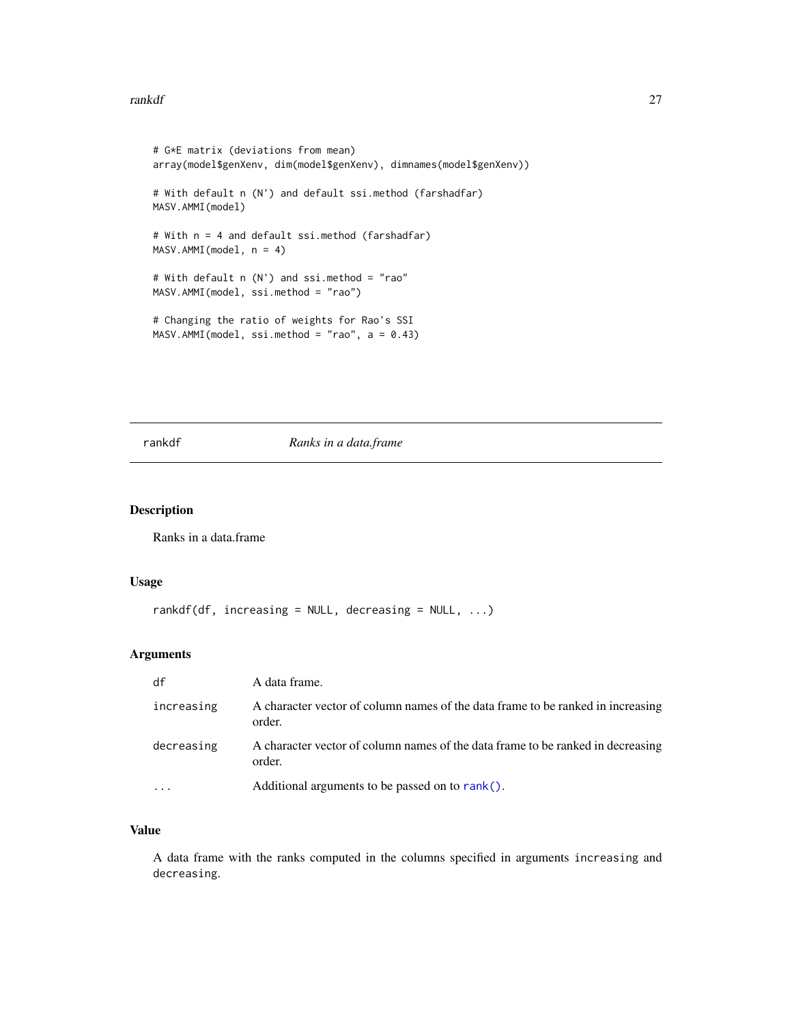#### <span id="page-26-0"></span>rankdf **27**

```
# G*E matrix (deviations from mean)
array(model$genXenv, dim(model$genXenv), dimnames(model$genXenv))
# With default n (N') and default ssi.method (farshadfar)
MASV.AMMI(model)
# With n = 4 and default ssi.method (farshadfar)
MASV.AMMI(model, n = 4)
# With default n (N') and ssi.method = "rao"
MASV.AMMI(model, ssi.method = "rao")
# Changing the ratio of weights for Rao's SSI
MASV.AMMI(model, ssi.method = "rao", a = 0.43)
```
# rankdf *Ranks in a data.frame*

# Description

Ranks in a data.frame

# Usage

```
rankdf(df, increasing = NULL, decreasing = NULL, \ldots)
```
# Arguments

| df         | A data frame.                                                                             |
|------------|-------------------------------------------------------------------------------------------|
| increasing | A character vector of column names of the data frame to be ranked in increasing<br>order. |
| decreasing | A character vector of column names of the data frame to be ranked in decreasing<br>order. |
|            | Additional arguments to be passed on to rank().                                           |

### Value

A data frame with the ranks computed in the columns specified in arguments increasing and decreasing.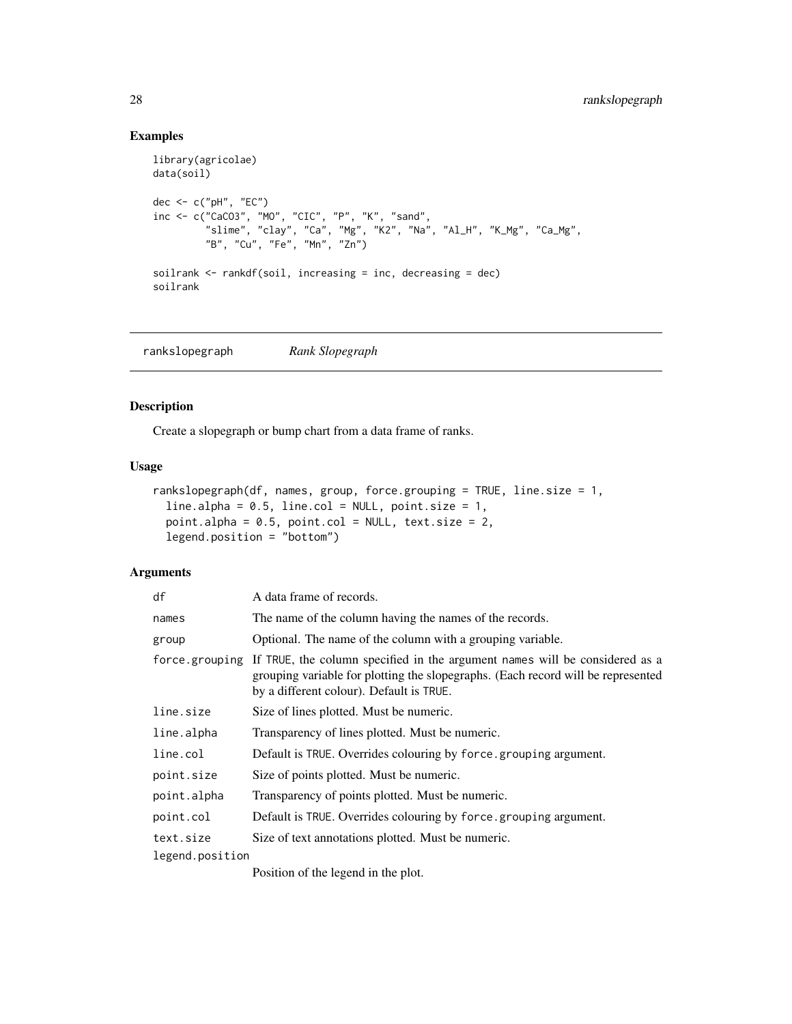# Examples

```
library(agricolae)
data(soil)
dec <- c("pH", "EC")
inc <- c("CaCO3", "MO", "CIC", "P", "K", "sand",
         "slime", "clay", "Ca", "Mg", "K2", "Na", "Al_H", "K_Mg", "Ca_Mg",
         "B", "Cu", "Fe", "Mn", "Zn")
soilrank <- rankdf(soil, increasing = inc, decreasing = dec)
soilrank
```
rankslopegraph *Rank Slopegraph*

# Description

Create a slopegraph or bump chart from a data frame of ranks.

#### Usage

```
rankslopegraph(df, names, group, force.grouping = TRUE, line.size = 1,
 line.alpha = 0.5, line.col = NULL, point.size = 1,
 point.alpha = 0.5, point.col = NULL, text.size = 2,
 legend.position = "bottom")
```
# Arguments

| df              | A data frame of records.                                                                                                                                                                                                   |
|-----------------|----------------------------------------------------------------------------------------------------------------------------------------------------------------------------------------------------------------------------|
| names           | The name of the column having the names of the records.                                                                                                                                                                    |
| group           | Optional. The name of the column with a grouping variable.                                                                                                                                                                 |
|                 | force grouping If TRUE, the column specified in the argument names will be considered as a<br>grouping variable for plotting the slopegraphs. (Each record will be represented<br>by a different colour). Default is TRUE. |
| line.size       | Size of lines plotted. Must be numeric.                                                                                                                                                                                    |
| line.alpha      | Transparency of lines plotted. Must be numeric.                                                                                                                                                                            |
| line.col        | Default is TRUE. Overrides colouring by force grouping argument.                                                                                                                                                           |
| point.size      | Size of points plotted. Must be numeric.                                                                                                                                                                                   |
| point.alpha     | Transparency of points plotted. Must be numeric.                                                                                                                                                                           |
| point.col       | Default is TRUE. Overrides colouring by force.grouping argument.                                                                                                                                                           |
| text.size       | Size of text annotations plotted. Must be numeric.                                                                                                                                                                         |
| legend.position |                                                                                                                                                                                                                            |
|                 | $\mathbf{D}$ . The case of $\mathbf{I}$ is a set of $\mathbf{I}$ is a set of $\mathbf{I}$ is a set of $\mathbf{I}$ is a set of $\mathbf{I}$                                                                                |

Position of the legend in the plot.

<span id="page-27-0"></span>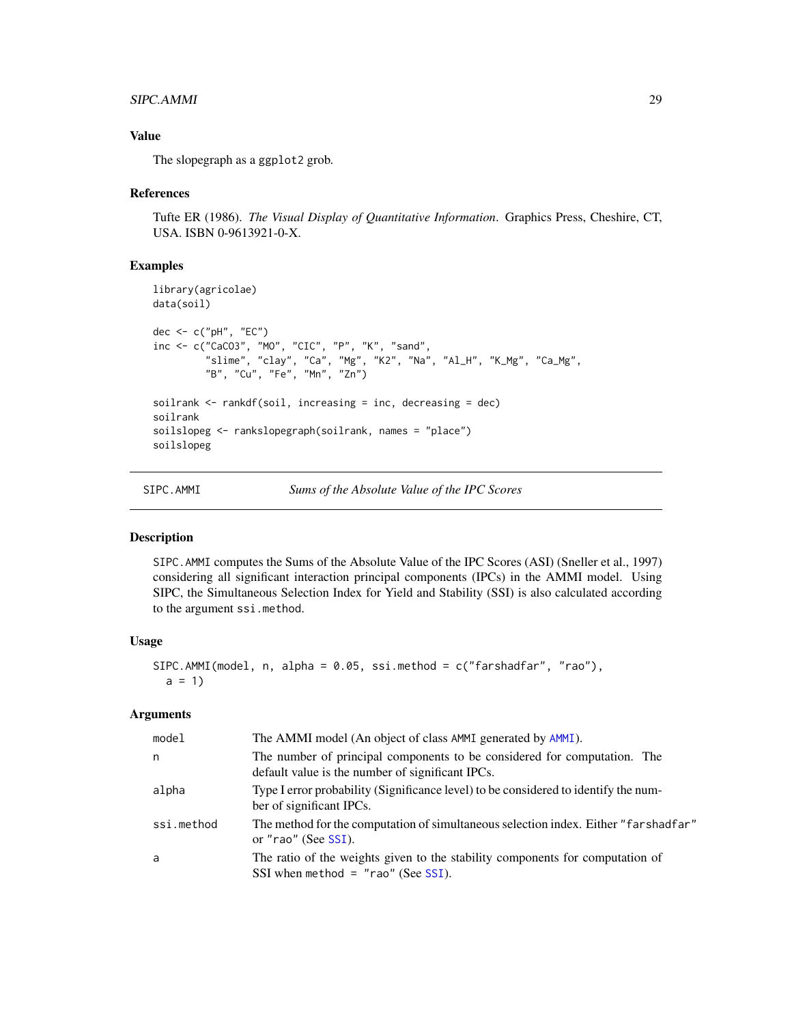#### <span id="page-28-0"></span>SIPC.AMMI 29

# Value

The slopegraph as a ggplot2 grob.

#### References

Tufte ER (1986). *The Visual Display of Quantitative Information*. Graphics Press, Cheshire, CT, USA. ISBN 0-9613921-0-X.

#### Examples

```
library(agricolae)
data(soil)
dec <- c("pH", "EC")
inc <- c("CaCO3", "MO", "CIC", "P", "K", "sand",
         "slime", "clay", "Ca", "Mg", "K2", "Na", "Al_H", "K_Mg", "Ca_Mg",
         "B", "Cu", "Fe", "Mn", "Zn")
soilrank \leq rankdf(soil, increasing = inc, decreasing = dec)
soilrank
soilslopeg <- rankslopegraph(soilrank, names = "place")
soilslopeg
```
<span id="page-28-1"></span>SIPC.AMMI *Sums of the Absolute Value of the IPC Scores*

#### Description

SIPC.AMMI computes the Sums of the Absolute Value of the IPC Scores (ASI) (Sneller et al., 1997) considering all significant interaction principal components (IPCs) in the AMMI model. Using SIPC, the Simultaneous Selection Index for Yield and Stability (SSI) is also calculated according to the argument ssi.method.

# Usage

```
SIPC.AMMI(model, n, alpha = 0.05, ssi.method = c("farshadfar", "rao"),
  a = 1
```
# Arguments

| model      | The AMMI model (An object of class AMMI generated by AMMI).                                                                  |
|------------|------------------------------------------------------------------------------------------------------------------------------|
| n          | The number of principal components to be considered for computation. The<br>default value is the number of significant IPCs. |
| alpha      | Type I error probability (Significance level) to be considered to identify the num-<br>ber of significant IPCs.              |
| ssi.method | The method for the computation of simultaneous selection index. Either "farshadfar"<br>or "rao" (See SSI).                   |
| a          | The ratio of the weights given to the stability components for computation of<br>SSI when method = $"$ rao" (See SSI).       |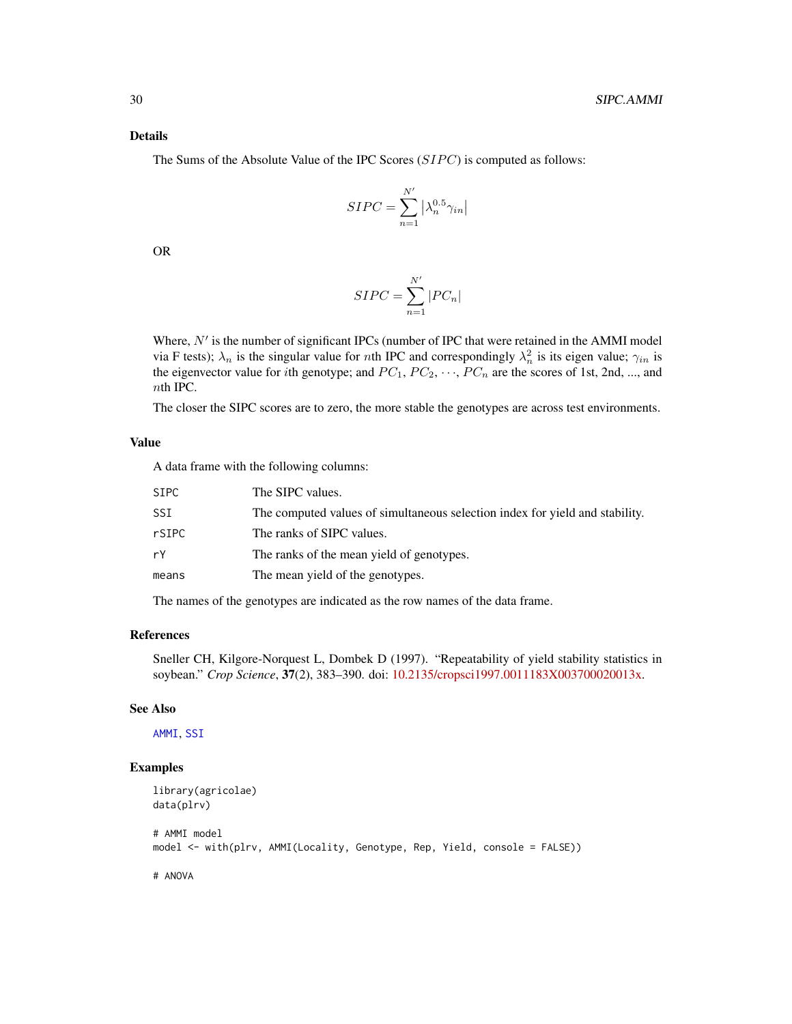# <span id="page-29-0"></span>Details

The Sums of the Absolute Value of the IPC Scores  $(SIPC)$  is computed as follows:

$$
SIPC = \sum_{n=1}^{N'} \left| \lambda_n^{0.5} \gamma_{in} \right|
$$

OR

$$
SIPC = \sum_{n=1}^{N'} |PC_n|
$$

Where,  $N'$  is the number of significant IPCs (number of IPC that were retained in the AMMI model via F tests);  $\lambda_n$  is the singular value for *n*th IPC and correspondingly  $\lambda_n^2$  is its eigen value;  $\gamma_{in}$  is the eigenvector value for ith genotype; and  $PC_1$ ,  $PC_2$ ,  $\cdots$ ,  $PC_n$  are the scores of 1st, 2nd, ..., and nth IPC.

The closer the SIPC scores are to zero, the more stable the genotypes are across test environments.

#### Value

A data frame with the following columns:

| SIPC  | The SIPC values.                                                             |
|-------|------------------------------------------------------------------------------|
| SSI   | The computed values of simultaneous selection index for yield and stability. |
| rSIPC | The ranks of SIPC values.                                                    |
| rY    | The ranks of the mean yield of genotypes.                                    |
| means | The mean yield of the genotypes.                                             |

The names of the genotypes are indicated as the row names of the data frame.

#### References

Sneller CH, Kilgore-Norquest L, Dombek D (1997). "Repeatability of yield stability statistics in soybean." *Crop Science*, 37(2), 383–390. doi: [10.2135/cropsci1997.0011183X003700020013x.](https://doi.org/10.2135/cropsci1997.0011183X003700020013x)

#### See Also

[AMMI](#page-0-0), [SSI](#page-30-1)

```
library(agricolae)
data(plrv)
# AMMI model
model <- with(plrv, AMMI(Locality, Genotype, Rep, Yield, console = FALSE))
```

```
# ANOVA
```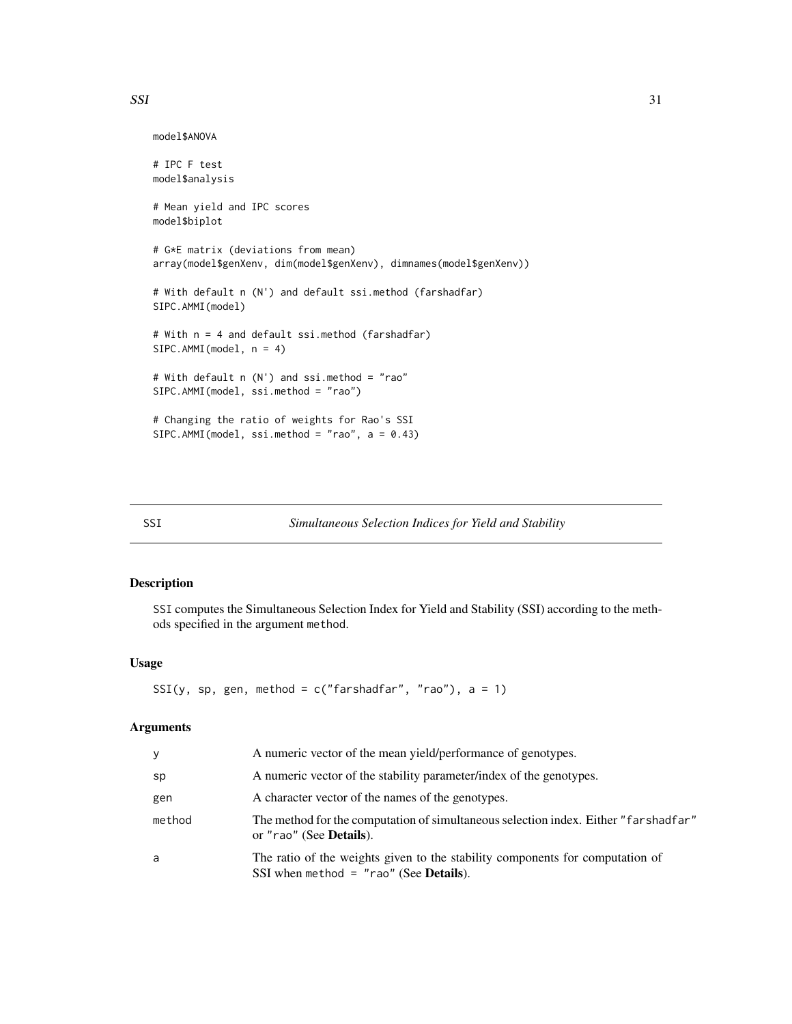<span id="page-30-0"></span> $SSI$  31

```
model$ANOVA
# IPC F test
model$analysis
# Mean yield and IPC scores
model$biplot
# G*E matrix (deviations from mean)
array(model$genXenv, dim(model$genXenv), dimnames(model$genXenv))
# With default n (N') and default ssi.method (farshadfar)
SIPC.AMMI(model)
# With n = 4 and default ssi.method (farshadfar)
SIPC.AMMI(model, n = 4)
# With default n (N') and ssi.method = "rao"
SIPC.AMMI(model, ssi.method = "rao")
# Changing the ratio of weights for Rao's SSI
SIPC.AMMI(model, ssi.method = "rao", a = 0.43)
```
<span id="page-30-1"></span>

# SSI *Simultaneous Selection Indices for Yield and Stability*

# Description

SSI computes the Simultaneous Selection Index for Yield and Stability (SSI) according to the methods specified in the argument method.

# Usage

SSI(y, sp, gen, method =  $c("farshadfar", "rao"), a = 1)$ 

# Arguments

| У      | A numeric vector of the mean yield/performance of genotypes.                                                                      |
|--------|-----------------------------------------------------------------------------------------------------------------------------------|
| sp     | A numeric vector of the stability parameter/index of the genotypes.                                                               |
| gen    | A character vector of the names of the genotypes.                                                                                 |
| method | The method for the computation of simultaneous selection index. Either "farshadfar"<br>or "rao" (See Details).                    |
| a      | The ratio of the weights given to the stability components for computation of<br>SSI when method $=$ "rao" (See <b>Details</b> ). |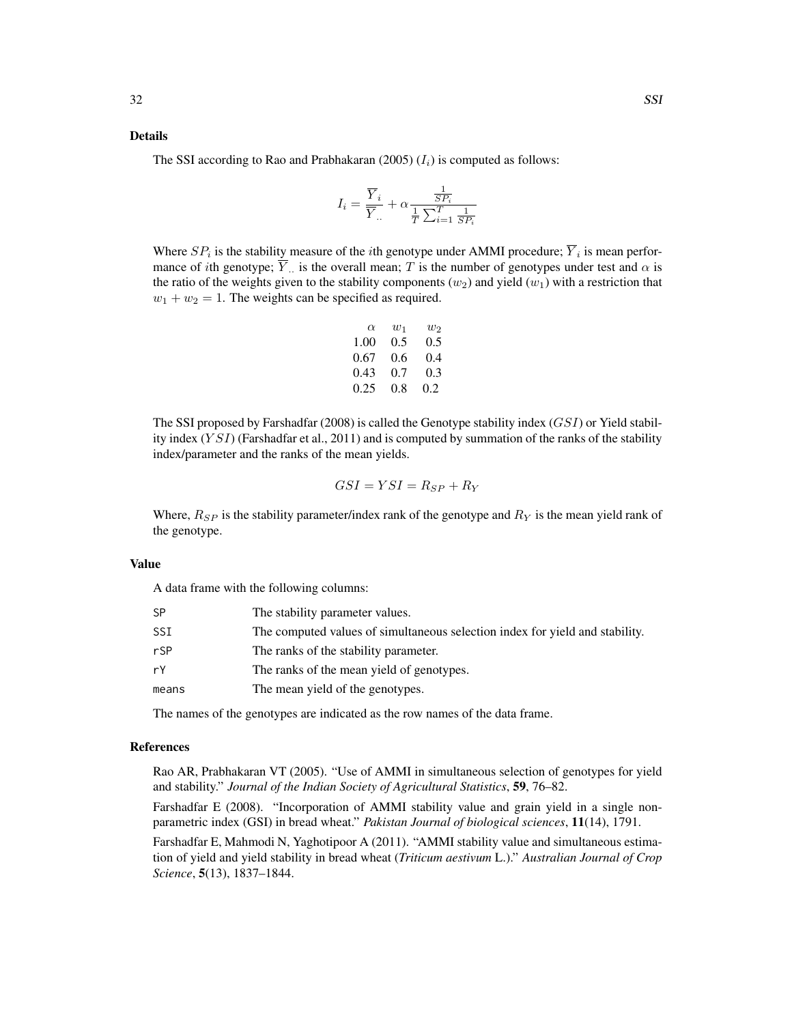#### Details

The SSI according to Rao and Prabhakaran (2005)  $(I_i)$  is computed as follows:

$$
I_i = \frac{\overline{Y}_i}{\overline{Y}_{..}} + \alpha \frac{\frac{1}{SP_i}}{\frac{1}{T} \sum_{i=1}^{T} \frac{1}{SP_i}}
$$

Where  $SP_i$  is the stability measure of the *i*th genotype under AMMI procedure;  $Y_i$  is mean performance of *i*th genotype; Y<sub>n</sub> is the overall mean; T is the number of genotypes under test and  $\alpha$  is the ratio of the weights given to the stability components  $(w_2)$  and yield  $(w_1)$  with a restriction that  $w_1 + w_2 = 1$ . The weights can be specified as required.

| $\alpha$ | $w_1$ | W2  |
|----------|-------|-----|
| 1.00     | 0.5   | 0.5 |
| 0.67     | 0.6   | 0.4 |
| 0.43     | 0.7   | 0.3 |
| 0.25     | 0.8   | 0.2 |

The SSI proposed by Farshadfar (2008) is called the Genotype stability index  $(GSI)$  or Yield stability index  $(YSI)$  (Farshadfar et al., 2011) and is computed by summation of the ranks of the stability index/parameter and the ranks of the mean yields.

$$
GSI = YSI = R_{SP} + R_Y
$$

Where,  $R_{SP}$  is the stability parameter/index rank of the genotype and  $R_Y$  is the mean yield rank of the genotype.

#### Value

A data frame with the following columns:

| SΡ    | The stability parameter values.                                              |
|-------|------------------------------------------------------------------------------|
| SSI   | The computed values of simultaneous selection index for yield and stability. |
| rSP   | The ranks of the stability parameter.                                        |
| rY    | The ranks of the mean yield of genotypes.                                    |
| means | The mean yield of the genotypes.                                             |
|       |                                                                              |

The names of the genotypes are indicated as the row names of the data frame.

#### References

Rao AR, Prabhakaran VT (2005). "Use of AMMI in simultaneous selection of genotypes for yield and stability." *Journal of the Indian Society of Agricultural Statistics*, 59, 76–82.

Farshadfar E (2008). "Incorporation of AMMI stability value and grain yield in a single nonparametric index (GSI) in bread wheat." *Pakistan Journal of biological sciences*, 11(14), 1791.

Farshadfar E, Mahmodi N, Yaghotipoor A (2011). "AMMI stability value and simultaneous estimation of yield and yield stability in bread wheat (*Triticum aestivum* L.)." *Australian Journal of Crop Science*, 5(13), 1837–1844.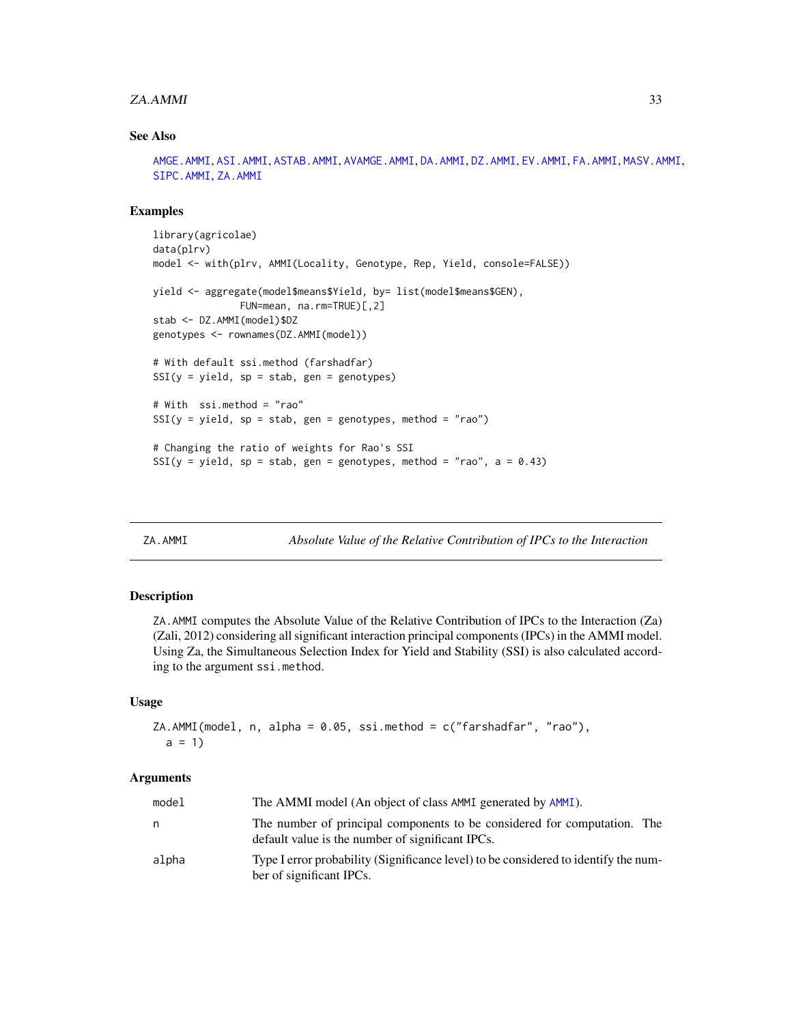#### <span id="page-32-0"></span>za.*AMMI* 33

#### See Also

[AMGE.AMMI](#page-1-1), [ASI.AMMI](#page-7-1), [ASTAB.AMMI](#page-9-1), [AVAMGE.AMMI](#page-11-1), [DA.AMMI](#page-13-1), [DZ.AMMI](#page-15-1), [EV.AMMI](#page-17-1), [FA.AMMI](#page-19-1), [MASV.AMMI](#page-23-1), [SIPC.AMMI](#page-28-1), [ZA.AMMI](#page-32-1)

#### Examples

```
library(agricolae)
data(plrv)
model <- with(plrv, AMMI(Locality, Genotype, Rep, Yield, console=FALSE))
yield <- aggregate(model$means$Yield, by= list(model$means$GEN),
               FUN=mean, na.rm=TRUE)[,2]
stab <- DZ.AMMI(model)$DZ
genotypes <- rownames(DZ.AMMI(model))
# With default ssi.method (farshadfar)
SSI(y = yield, sp = stab, gen = genotypes)# With ssi.method = "rao"
SSI(y = yield, sp = stab, gen = genotypes, method = "rao")# Changing the ratio of weights for Rao's SSI
SSI(y = yield, sp = stab, gen = genotypes, method = "rao", a = 0.43)
```
<span id="page-32-1"></span>

ZA.AMMI *Absolute Value of the Relative Contribution of IPCs to the Interaction*

# **Description**

ZA.AMMI computes the Absolute Value of the Relative Contribution of IPCs to the Interaction (Za) (Zali, 2012) considering all significant interaction principal components (IPCs) in the AMMI model. Using Za, the Simultaneous Selection Index for Yield and Stability (SSI) is also calculated according to the argument ssi.method.

#### Usage

```
ZA.AMMI(model, n, alpha = 0.05, ssi.method = c("farshadfar", "rao"),a = 1
```
#### Arguments

| model | The AMMI model (An object of class AMMI generated by AMMI).                                                                  |
|-------|------------------------------------------------------------------------------------------------------------------------------|
| n     | The number of principal components to be considered for computation. The<br>default value is the number of significant IPCs. |
| alpha | Type I error probability (Significance level) to be considered to identify the num-<br>ber of significant IPCs.              |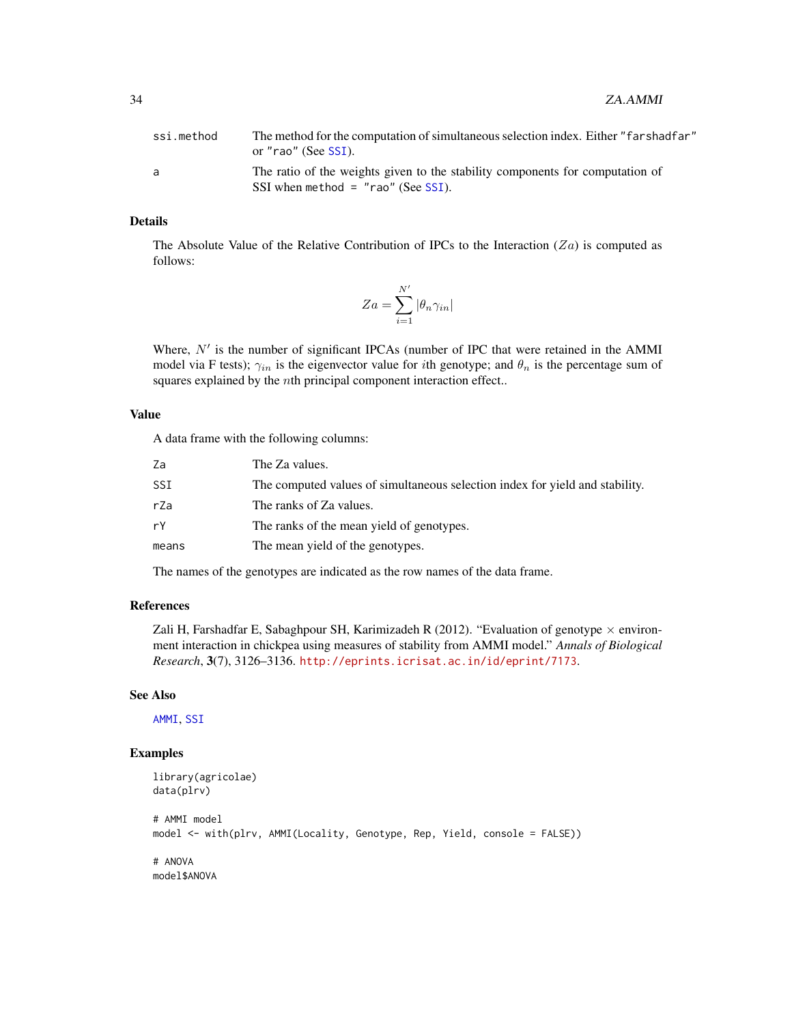<span id="page-33-0"></span>

| ssi.method | The method for the computation of simultaneous selection index. Either "farshadfar"<br>or "rao" (See SSI).            |
|------------|-----------------------------------------------------------------------------------------------------------------------|
| a.         | The ratio of the weights given to the stability components for computation of<br>$SSI$ when method = "rao" (See SSI). |

#### Details

The Absolute Value of the Relative Contribution of IPCs to the Interaction  $(Za)$  is computed as follows:

$$
Za = \sum_{i=1}^{N'} |\theta_n \gamma_{in}|
$$

Where,  $N'$  is the number of significant IPCAs (number of IPC that were retained in the AMMI model via F tests);  $\gamma_{in}$  is the eigenvector value for *i*th genotype; and  $\theta_n$  is the percentage sum of squares explained by the nth principal component interaction effect..

### Value

A data frame with the following columns:

| Za    | The Za values.                                                               |
|-------|------------------------------------------------------------------------------|
| SSI   | The computed values of simultaneous selection index for yield and stability. |
| rZa   | The ranks of Za values.                                                      |
| rY    | The ranks of the mean yield of genotypes.                                    |
| means | The mean yield of the genotypes.                                             |

The names of the genotypes are indicated as the row names of the data frame.

# References

Zali H, Farshadfar E, Sabaghpour SH, Karimizadeh R (2012). "Evaluation of genotype  $\times$  environment interaction in chickpea using measures of stability from AMMI model." *Annals of Biological Research*, 3(7), 3126–3136. <http://eprints.icrisat.ac.in/id/eprint/7173>.

#### See Also

[AMMI](#page-0-0), [SSI](#page-30-1)

```
library(agricolae)
data(plrv)
# AMMI model
model <- with(plrv, AMMI(Locality, Genotype, Rep, Yield, console = FALSE))
# ANOVA
model$ANOVA
```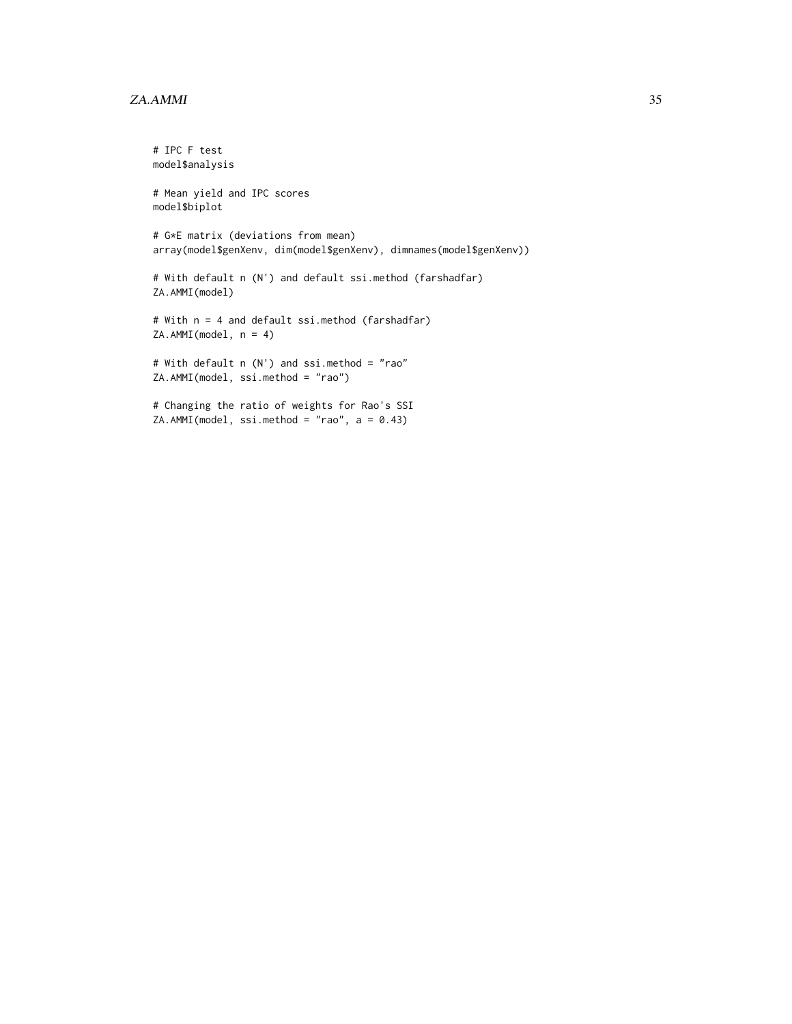#### za.*AMMI* 35

```
# IPC F test
model$analysis
# Mean yield and IPC scores
model$biplot
# G*E matrix (deviations from mean)
array(model$genXenv, dim(model$genXenv), dimnames(model$genXenv))
# With default n (N') and default ssi.method (farshadfar)
ZA.AMMI(model)
# With n = 4 and default ssi.method (farshadfar)
ZA.AMMI(model, n = 4)
# With default n (N') and ssi.method = "rao"
ZA.AMMI(model, ssi.method = "rao")
# Changing the ratio of weights for Rao's SSI
ZA.AMMI(model, ssi.method = "rao", a = 0.43)
```